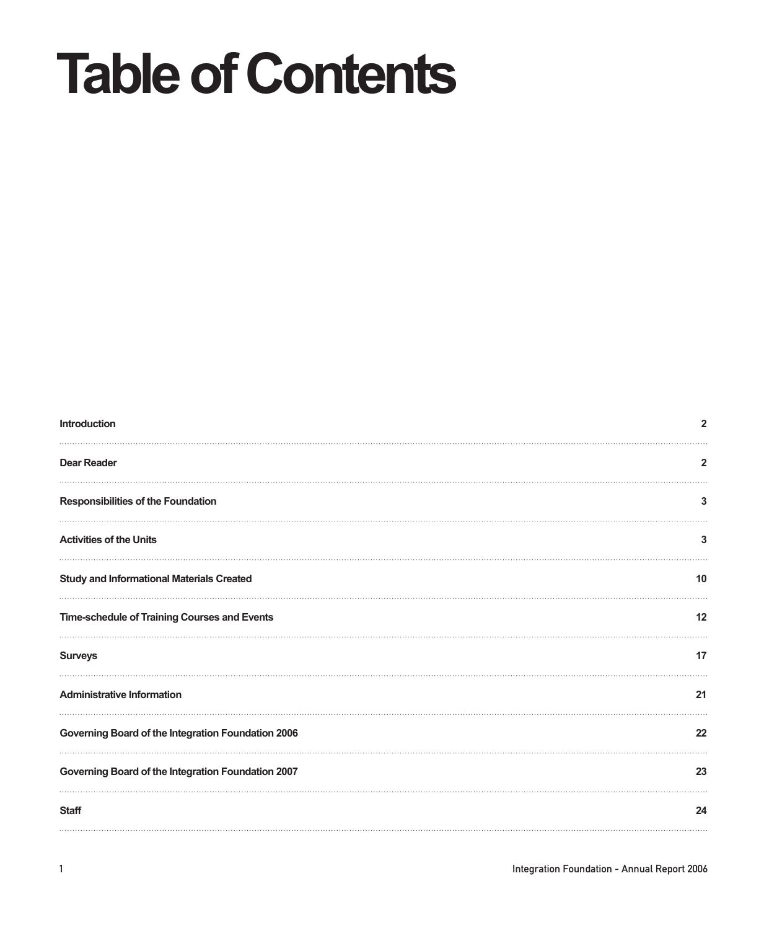# **Table of Contents**

| Introduction                                       | $\overline{2}$ |
|----------------------------------------------------|----------------|
| <b>Dear Reader</b>                                 | 2              |
| <b>Responsibilities of the Foundation</b>          | 3              |
| <b>Activities of the Units</b>                     | 3              |
| <b>Study and Informational Materials Created</b>   | 10             |
| Time-schedule of Training Courses and Events       | 12             |
| <b>Surveys</b>                                     | 17             |
| <b>Administrative Information</b>                  | 21             |
| Governing Board of the Integration Foundation 2006 | 22             |
| Governing Board of the Integration Foundation 2007 | 23             |
| <b>Staff</b>                                       | 24             |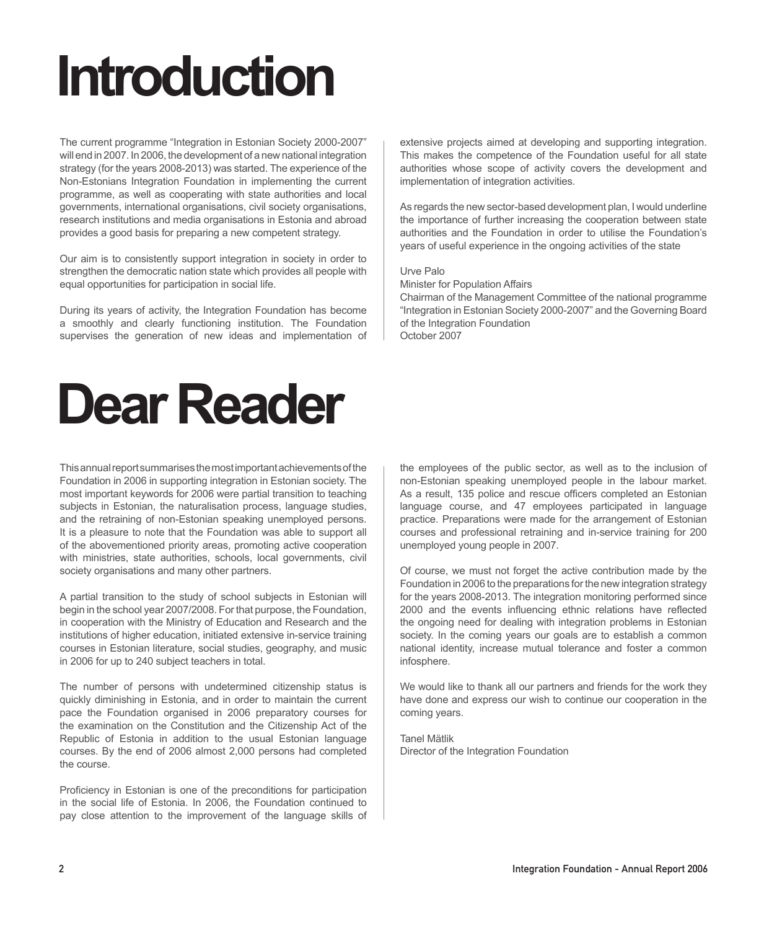## **Introduction**

The current programme "Integration in Estonian Society 2000-2007" will end in 2007. In 2006, the development of a new national integration strategy (for the years 2008-2013) was started. The experience of the Non-Estonians Integration Foundation in implementing the current programme, as well as cooperating with state authorities and local governments, international organisations, civil society organisations, research institutions and media organisations in Estonia and abroad provides a good basis for preparing a new competent strategy.

Our aim is to consistently support integration in society in order to strengthen the democratic nation state which provides all people with equal opportunities for participation in social life.

During its years of activity, the Integration Foundation has become a smoothly and clearly functioning institution. The Foundation supervises the generation of new ideas and implementation of

## **Dear Reader**

This annual report summarises the most important achievements of the Foundation in 2006 in supporting integration in Estonian society. The most important keywords for 2006 were partial transition to teaching subjects in Estonian, the naturalisation process, language studies, and the retraining of non-Estonian speaking unemployed persons. It is a pleasure to note that the Foundation was able to support all of the abovementioned priority areas, promoting active cooperation with ministries, state authorities, schools, local governments, civil society organisations and many other partners.

A partial transition to the study of school subjects in Estonian will begin in the school year 2007/2008. For that purpose, the Foundation, in cooperation with the Ministry of Education and Research and the institutions of higher education, initiated extensive in-service training courses in Estonian literature, social studies, geography, and music in 2006 for up to 240 subject teachers in total.

The number of persons with undetermined citizenship status is quickly diminishing in Estonia, and in order to maintain the current pace the Foundation organised in 2006 preparatory courses for the examination on the Constitution and the Citizenship Act of the Republic of Estonia in addition to the usual Estonian language courses. By the end of 2006 almost 2,000 persons had completed the course.

Proficiency in Estonian is one of the preconditions for participation in the social life of Estonia. In 2006, the Foundation continued to pay close attention to the improvement of the language skills of extensive projects aimed at developing and supporting integration. This makes the competence of the Foundation useful for all state authorities whose scope of activity covers the development and implementation of integration activities.

As regards the new sector-based development plan, I would underline the importance of further increasing the cooperation between state authorities and the Foundation in order to utilise the Foundation's years of useful experience in the ongoing activities of the state

#### Urve Palo

Minister for Population Affairs

Chairman of the Management Committee of the national programme "Integration in Estonian Society 2000-2007" and the Governing Board of the Integration Foundation October 2007

the employees of the public sector, as well as to the inclusion of non-Estonian speaking unemployed people in the labour market. As a result, 135 police and rescue officers completed an Estonian language course, and 47 employees participated in language practice. Preparations were made for the arrangement of Estonian courses and professional retraining and in-service training for 200 unemployed young people in 2007.

Of course, we must not forget the active contribution made by the Foundation in 2006 to the preparations for the new integration strategy for the years 2008-2013. The integration monitoring performed since 2000 and the events influencing ethnic relations have reflected the ongoing need for dealing with integration problems in Estonian society. In the coming years our goals are to establish a common national identity, increase mutual tolerance and foster a common infosphere.

We would like to thank all our partners and friends for the work they have done and express our wish to continue our cooperation in the coming years.

Tanel Mätlik Director of the Integration Foundation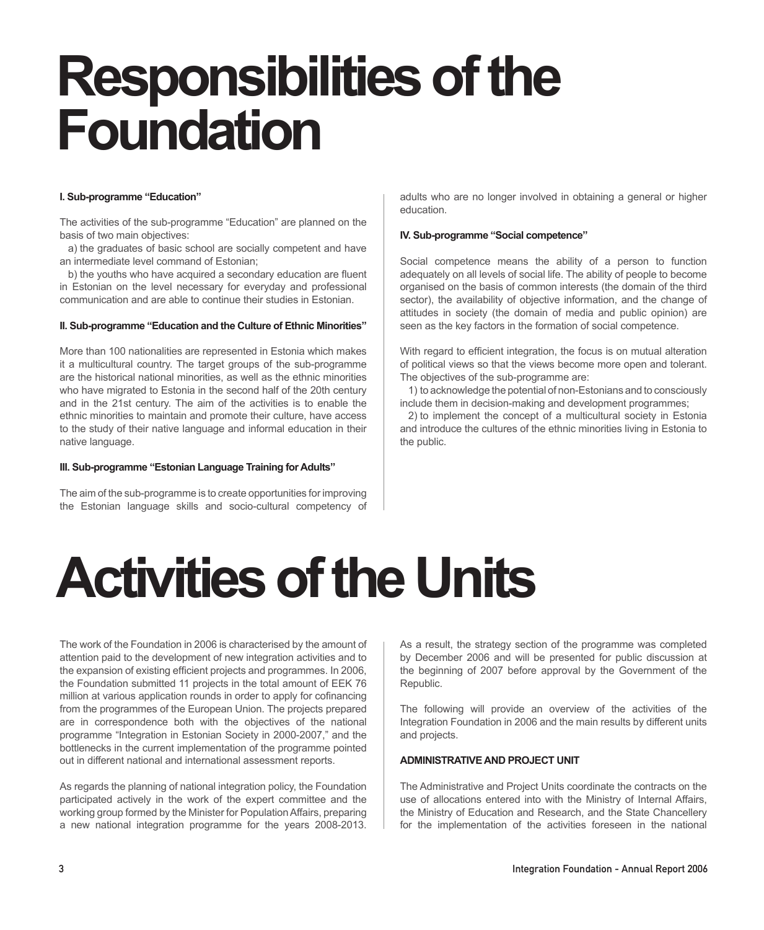## **Responsibilitiesofthe Foundation**

## **I. Sub-programme "Education"**

The activities of the sub-programme "Education" are planned on the basis of two main objectives:

a) the graduates of basic school are socially competent and have an intermediate level command of Estonian;

b) the youths who have acquired a secondary education are fluent in Estonian on the level necessary for everyday and professional communication and are able to continue their studies in Estonian.

#### **II. Sub-programme "Education and the Culture of Ethnic Minorities"**

More than 100 nationalities are represented in Estonia which makes it a multicultural country. The target groups of the sub-programme are the historical national minorities, as well as the ethnic minorities who have migrated to Estonia in the second half of the 20th century and in the 21st century. The aim of the activities is to enable the ethnic minorities to maintain and promote their culture, have access to the study of their native language and informal education in their native language.

#### **III. Sub-programme "Estonian Language Training for Adults"**

The aim of the sub-programme is to create opportunities for improving the Estonian language skills and socio-cultural competency of adults who are no longer involved in obtaining a general or higher education.

#### **IV. Sub-programme "Social competence"**

Social competence means the ability of a person to function adequately on all levels of social life. The ability of people to become organised on the basis of common interests (the domain of the third sector), the availability of objective information, and the change of attitudes in society (the domain of media and public opinion) are seen as the key factors in the formation of social competence.

With regard to efficient integration, the focus is on mutual alteration of political views so that the views become more open and tolerant. The objectives of the sub-programme are:

1) to acknowledge the potential of non-Estonians and to consciously include them in decision-making and development programmes;

2) to implement the concept of a multicultural society in Estonia and introduce the cultures of the ethnic minorities living in Estonia to the public.

## **Activities of the Units**

The work of the Foundation in 2006 is characterised by the amount of attention paid to the development of new integration activities and to the expansion of existing efficient projects and programmes. In 2006, the Foundation submitted 11 projects in the total amount of EEK 76 million at various application rounds in order to apply for cofinancing from the programmes of the European Union. The projects prepared are in correspondence both with the objectives of the national programme "Integration in Estonian Society in 2000-2007," and the bottlenecks in the current implementation of the programme pointed out in different national and international assessment reports.

As regards the planning of national integration policy, the Foundation participated actively in the work of the expert committee and the working group formed by the Minister for Population Affairs, preparing a new national integration programme for the years 2008-2013. As a result, the strategy section of the programme was completed by December 2006 and will be presented for public discussion at the beginning of 2007 before approval by the Government of the Republic.

The following will provide an overview of the activities of the Integration Foundation in 2006 and the main results by different units and projects.

## **Administrative and Project Unit**

The Administrative and Project Units coordinate the contracts on the use of allocations entered into with the Ministry of Internal Affairs, the Ministry of Education and Research, and the State Chancellery for the implementation of the activities foreseen in the national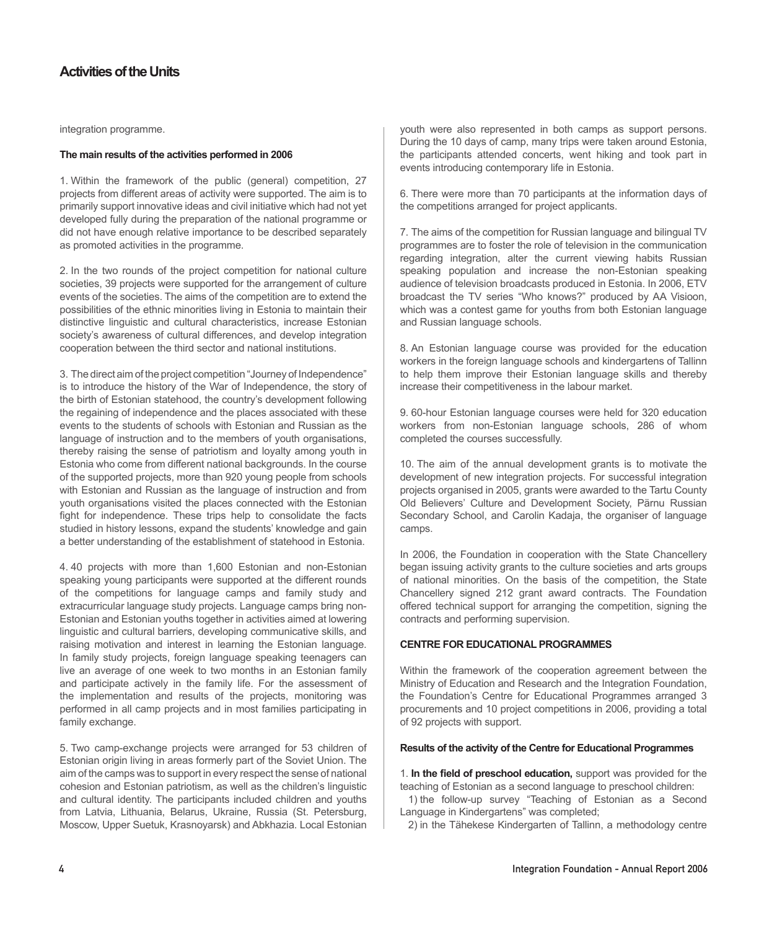integration programme.

## **The main results of the activities performed in 2006**

1. Within the framework of the public (general) competition, 27 projects from different areas of activity were supported. The aim is to primarily support innovative ideas and civil initiative which had not yet developed fully during the preparation of the national programme or did not have enough relative importance to be described separately as promoted activities in the programme.

2. In the two rounds of the project competition for national culture societies, 39 projects were supported for the arrangement of culture events of the societies. The aims of the competition are to extend the possibilities of the ethnic minorities living in Estonia to maintain their distinctive linguistic and cultural characteristics, increase Estonian society's awareness of cultural differences, and develop integration cooperation between the third sector and national institutions.

3. The direct aim of the project competition "Journey of Independence" is to introduce the history of the War of Independence, the story of the birth of Estonian statehood, the country's development following the regaining of independence and the places associated with these events to the students of schools with Estonian and Russian as the language of instruction and to the members of youth organisations, thereby raising the sense of patriotism and loyalty among youth in Estonia who come from different national backgrounds. In the course of the supported projects, more than 920 young people from schools with Estonian and Russian as the language of instruction and from youth organisations visited the places connected with the Estonian fight for independence. These trips help to consolidate the facts studied in history lessons, expand the students' knowledge and gain a better understanding of the establishment of statehood in Estonia.

4. 40 projects with more than 1,600 Estonian and non-Estonian speaking young participants were supported at the different rounds of the competitions for language camps and family study and extracurricular language study projects. Language camps bring non-Estonian and Estonian youths together in activities aimed at lowering linguistic and cultural barriers, developing communicative skills, and raising motivation and interest in learning the Estonian language. In family study projects, foreign language speaking teenagers can live an average of one week to two months in an Estonian family and participate actively in the family life. For the assessment of the implementation and results of the projects, monitoring was performed in all camp projects and in most families participating in family exchange.

5. Two camp-exchange projects were arranged for 53 children of Estonian origin living in areas formerly part of the Soviet Union. The aim of the camps was to support in every respect the sense of national cohesion and Estonian patriotism, as well as the children's linguistic and cultural identity. The participants included children and youths from Latvia, Lithuania, Belarus, Ukraine, Russia (St. Petersburg, Moscow, Upper Suetuk, Krasnoyarsk) and Abkhazia. Local Estonian

youth were also represented in both camps as support persons. During the 10 days of camp, many trips were taken around Estonia, the participants attended concerts, went hiking and took part in events introducing contemporary life in Estonia.

6. There were more than 70 participants at the information days of the competitions arranged for project applicants.

7. The aims of the competition for Russian language and bilingual TV programmes are to foster the role of television in the communication regarding integration, alter the current viewing habits Russian speaking population and increase the non-Estonian speaking audience of television broadcasts produced in Estonia. In 2006, ETV broadcast the TV series "Who knows?" produced by AA Visioon, which was a contest game for youths from both Estonian language and Russian language schools.

8. An Estonian language course was provided for the education workers in the foreign language schools and kindergartens of Tallinn to help them improve their Estonian language skills and thereby increase their competitiveness in the labour market.

9. 60-hour Estonian language courses were held for 320 education workers from non-Estonian language schools, 286 of whom completed the courses successfully.

10. The aim of the annual development grants is to motivate the development of new integration projects. For successful integration projects organised in 2005, grants were awarded to the Tartu County Old Believers' Culture and Development Society, Pärnu Russian Secondary School, and Carolin Kadaja, the organiser of language camps.

In 2006, the Foundation in cooperation with the State Chancellery began issuing activity grants to the culture societies and arts groups of national minorities. On the basis of the competition, the State Chancellery signed 212 grant award contracts. The Foundation offered technical support for arranging the competition, signing the contracts and performing supervision.

## **Centre for Educational Programmes**

Within the framework of the cooperation agreement between the Ministry of Education and Research and the Integration Foundation, the Foundation's Centre for Educational Programmes arranged 3 procurements and 10 project competitions in 2006, providing a total of 92 projects with support.

## **Results of the activity of the Centre for Educational Programmes**

1. **In the field of preschool education,** support was provided for the teaching of Estonian as a second language to preschool children:

1) the follow-up survey "Teaching of Estonian as a Second Language in Kindergartens" was completed;

2) in the Tähekese Kindergarten of Tallinn, a methodology centre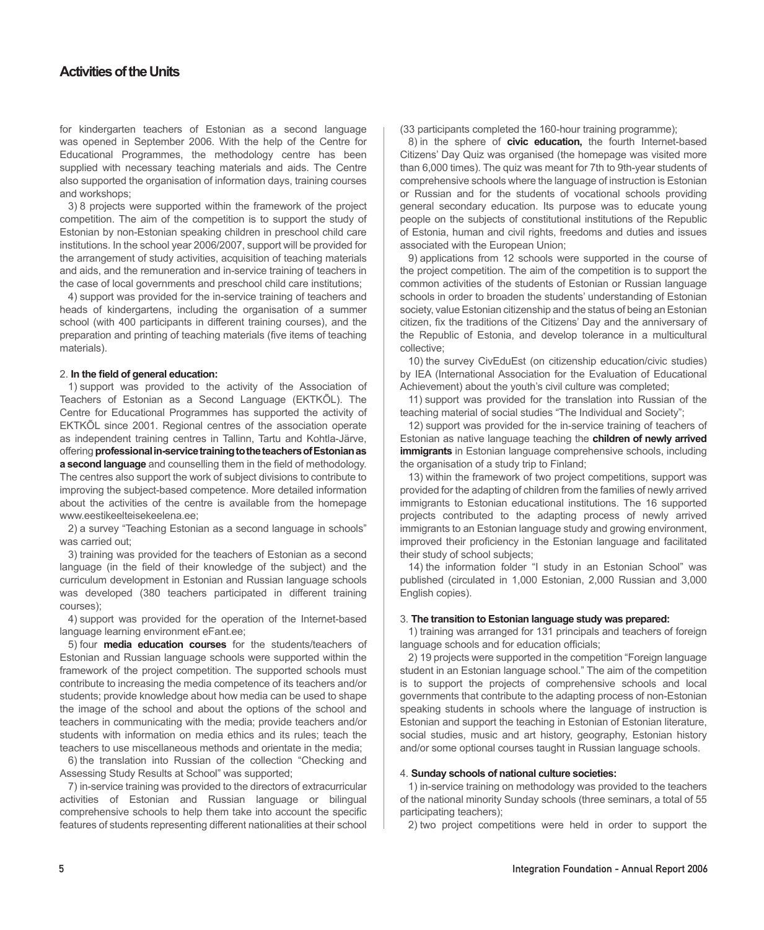for kindergarten teachers of Estonian as a second language was opened in September 2006. With the help of the Centre for Educational Programmes, the methodology centre has been supplied with necessary teaching materials and aids. The Centre also supported the organisation of information days, training courses and workshops;

3) 8 projects were supported within the framework of the project competition. The aim of the competition is to support the study of Estonian by non-Estonian speaking children in preschool child care institutions. In the school year 2006/2007, support will be provided for the arrangement of study activities, acquisition of teaching materials and aids, and the remuneration and in-service training of teachers in the case of local governments and preschool child care institutions;

4) support was provided for the in-service training of teachers and heads of kindergartens, including the organisation of a summer school (with 400 participants in different training courses), and the preparation and printing of teaching materials (five items of teaching materials).

#### 2. **In the field of general education:**

1) support was provided to the activity of the Association of Teachers of Estonian as a Second Language (EKTKÕL). The Centre for Educational Programmes has supported the activity of EKTKÕL since 2001. Regional centres of the association operate as independent training centres in Tallinn, Tartu and Kohtla-Järve, offering **professionalin-servicetrainingtotheteachersofEstonianas a second language** and counselling them in the field of methodology. The centres also support the work of subject divisions to contribute to improving the subject-based competence. More detailed information about the activities of the centre is available from the homepage www.eestikeelteisekeelena.ee;

2) a survey "Teaching Estonian as a second language in schools" was carried out;

3) training was provided for the teachers of Estonian as a second language (in the field of their knowledge of the subject) and the curriculum development in Estonian and Russian language schools was developed (380 teachers participated in different training courses);

4) support was provided for the operation of the Internet-based language learning environment eFant.ee;

5) four **media education courses** for the students/teachers of Estonian and Russian language schools were supported within the framework of the project competition. The supported schools must contribute to increasing the media competence of its teachers and/or students; provide knowledge about how media can be used to shape the image of the school and about the options of the school and teachers in communicating with the media; provide teachers and/or students with information on media ethics and its rules; teach the teachers to use miscellaneous methods and orientate in the media;

6) the translation into Russian of the collection "Checking and Assessing Study Results at School" was supported;

7) in-service training was provided to the directors of extracurricular activities of Estonian and Russian language or bilingual comprehensive schools to help them take into account the specific features of students representing different nationalities at their school

(33 participants completed the 160-hour training programme);

8) in the sphere of **civic education,** the fourth Internet-based Citizens' Day Quiz was organised (the homepage was visited more than 6,000 times). The quiz was meant for 7th to 9th-year students of comprehensive schools where the language of instruction is Estonian or Russian and for the students of vocational schools providing general secondary education. Its purpose was to educate young people on the subjects of constitutional institutions of the Republic of Estonia, human and civil rights, freedoms and duties and issues associated with the European Union;

9) applications from 12 schools were supported in the course of the project competition. The aim of the competition is to support the common activities of the students of Estonian or Russian language schools in order to broaden the students' understanding of Estonian society, value Estonian citizenship and the status of being an Estonian citizen, fix the traditions of the Citizens' Day and the anniversary of the Republic of Estonia, and develop tolerance in a multicultural collective;

10) the survey CivEduEst (on citizenship education/civic studies) by IEA (International Association for the Evaluation of Educational Achievement) about the youth's civil culture was completed;

11) support was provided for the translation into Russian of the teaching material of social studies "The Individual and Society";

12) support was provided for the in-service training of teachers of Estonian as native language teaching the **children of newly arrived immigrants** in Estonian language comprehensive schools, including the organisation of a study trip to Finland;

13) within the framework of two project competitions, support was provided for the adapting of children from the families of newly arrived immigrants to Estonian educational institutions. The 16 supported projects contributed to the adapting process of newly arrived immigrants to an Estonian language study and growing environment, improved their proficiency in the Estonian language and facilitated their study of school subjects;

14) the information folder "I study in an Estonian School" was published (circulated in 1,000 Estonian, 2,000 Russian and 3,000 English copies).

### 3. **The transition to Estonian language study was prepared:**

1) training was arranged for 131 principals and teachers of foreign language schools and for education officials;

2) 19 projects were supported in the competition "Foreign language student in an Estonian language school." The aim of the competition is to support the projects of comprehensive schools and local governments that contribute to the adapting process of non-Estonian speaking students in schools where the language of instruction is Estonian and support the teaching in Estonian of Estonian literature, social studies, music and art history, geography, Estonian history and/or some optional courses taught in Russian language schools.

#### 4. **Sunday schools of national culture societies:**

1) in-service training on methodology was provided to the teachers of the national minority Sunday schools (three seminars, a total of 55 participating teachers);

2) two project competitions were held in order to support the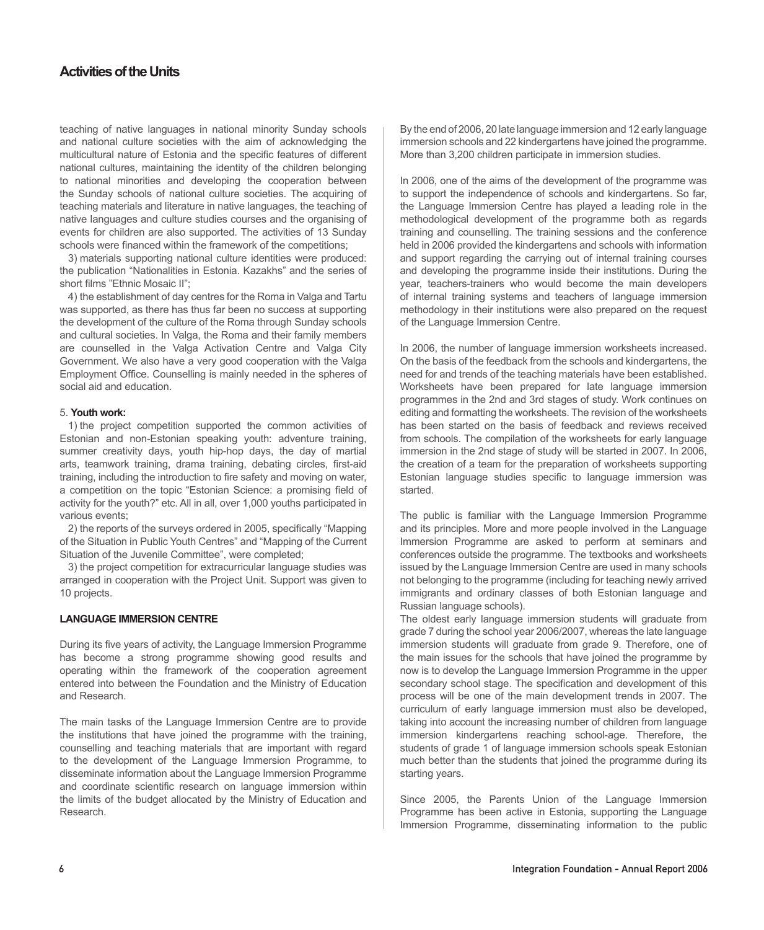teaching of native languages in national minority Sunday schools and national culture societies with the aim of acknowledging the multicultural nature of Estonia and the specific features of different national cultures, maintaining the identity of the children belonging to national minorities and developing the cooperation between the Sunday schools of national culture societies. The acquiring of teaching materials and literature in native languages, the teaching of native languages and culture studies courses and the organising of events for children are also supported. The activities of 13 Sunday schools were financed within the framework of the competitions;

3) materials supporting national culture identities were produced: the publication "Nationalities in Estonia. Kazakhs" and the series of short films "Ethnic Mosaic II";

4) the establishment of day centres for the Roma in Valga and Tartu was supported, as there has thus far been no success at supporting the development of the culture of the Roma through Sunday schools and cultural societies. In Valga, the Roma and their family members are counselled in the Valga Activation Centre and Valga City Government. We also have a very good cooperation with the Valga Employment Office. Counselling is mainly needed in the spheres of social aid and education.

### 5. **Youth work:**

1) the project competition supported the common activities of Estonian and non-Estonian speaking youth: adventure training, summer creativity days, youth hip-hop days, the day of martial arts, teamwork training, drama training, debating circles, first-aid training, including the introduction to fire safety and moving on water, a competition on the topic "Estonian Science: a promising field of activity for the youth?" etc. All in all, over 1,000 youths participated in various events;

2) the reports of the surveys ordered in 2005, specifically "Mapping of the Situation in Public Youth Centres" and "Mapping of the Current Situation of the Juvenile Committee", were completed;

3) the project competition for extracurricular language studies was arranged in cooperation with the Project Unit. Support was given to 10 projects.

## **Language Immersion Centre**

During its five years of activity, the Language Immersion Programme has become a strong programme showing good results and operating within the framework of the cooperation agreement entered into between the Foundation and the Ministry of Education and Research.

The main tasks of the Language Immersion Centre are to provide the institutions that have joined the programme with the training, counselling and teaching materials that are important with regard to the development of the Language Immersion Programme, to disseminate information about the Language Immersion Programme and coordinate scientific research on language immersion within the limits of the budget allocated by the Ministry of Education and Research.

By the end of 2006, 20 late language immersion and 12 early language immersion schools and 22 kindergartens have joined the programme. More than 3,200 children participate in immersion studies.

In 2006, one of the aims of the development of the programme was to support the independence of schools and kindergartens. So far, the Language Immersion Centre has played a leading role in the methodological development of the programme both as regards training and counselling. The training sessions and the conference held in 2006 provided the kindergartens and schools with information and support regarding the carrying out of internal training courses and developing the programme inside their institutions. During the year, teachers-trainers who would become the main developers of internal training systems and teachers of language immersion methodology in their institutions were also prepared on the request of the Language Immersion Centre.

In 2006, the number of language immersion worksheets increased. On the basis of the feedback from the schools and kindergartens, the need for and trends of the teaching materials have been established. Worksheets have been prepared for late language immersion programmes in the 2nd and 3rd stages of study. Work continues on editing and formatting the worksheets. The revision of the worksheets has been started on the basis of feedback and reviews received from schools. The compilation of the worksheets for early language immersion in the 2nd stage of study will be started in 2007. In 2006, the creation of a team for the preparation of worksheets supporting Estonian language studies specific to language immersion was started.

The public is familiar with the Language Immersion Programme and its principles. More and more people involved in the Language Immersion Programme are asked to perform at seminars and conferences outside the programme. The textbooks and worksheets issued by the Language Immersion Centre are used in many schools not belonging to the programme (including for teaching newly arrived immigrants and ordinary classes of both Estonian language and Russian language schools).

The oldest early language immersion students will graduate from grade 7 during the school year 2006/2007, whereas the late language immersion students will graduate from grade 9. Therefore, one of the main issues for the schools that have joined the programme by now is to develop the Language Immersion Programme in the upper secondary school stage. The specification and development of this process will be one of the main development trends in 2007. The curriculum of early language immersion must also be developed, taking into account the increasing number of children from language immersion kindergartens reaching school-age. Therefore, the students of grade 1 of language immersion schools speak Estonian much better than the students that joined the programme during its starting years.

Since 2005, the Parents Union of the Language Immersion Programme has been active in Estonia, supporting the Language Immersion Programme, disseminating information to the public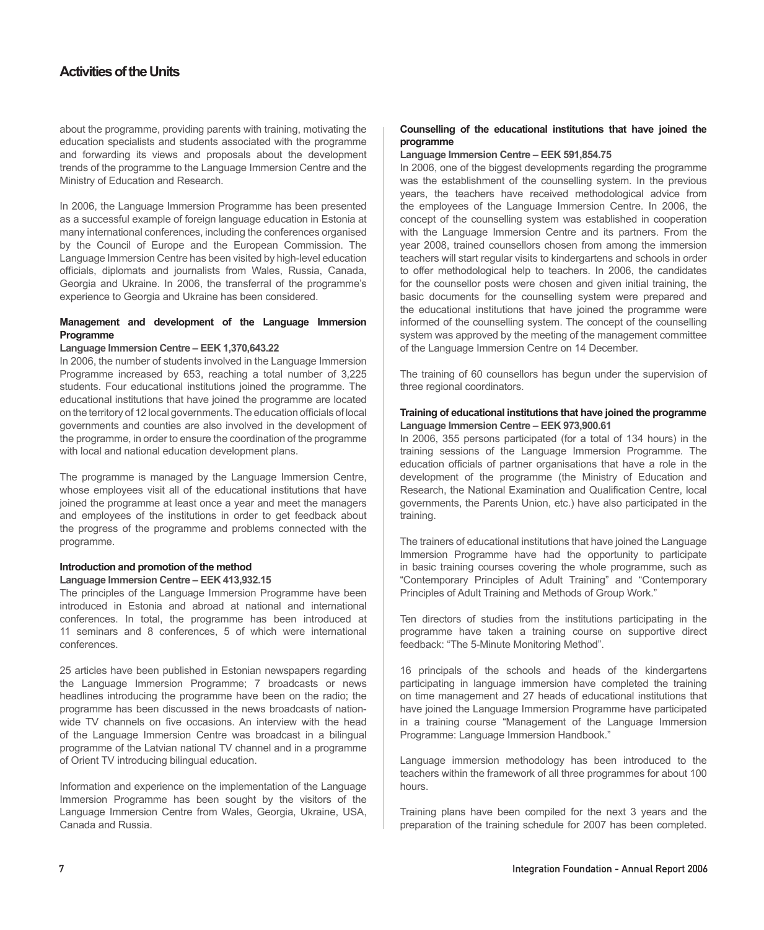about the programme, providing parents with training, motivating the education specialists and students associated with the programme and forwarding its views and proposals about the development trends of the programme to the Language Immersion Centre and the Ministry of Education and Research.

In 2006, the Language Immersion Programme has been presented as a successful example of foreign language education in Estonia at many international conferences, including the conferences organised by the Council of Europe and the European Commission. The Language Immersion Centre has been visited by high-level education officials, diplomats and journalists from Wales, Russia, Canada, Georgia and Ukraine. In 2006, the transferral of the programme's experience to Georgia and Ukraine has been considered.

## **Management and development of the Language Immersion Programme**

## **Language Immersion Centre – EEK 1,370,643.22**

In 2006, the number of students involved in the Language Immersion Programme increased by 653, reaching a total number of 3,225 students. Four educational institutions joined the programme. The educational institutions that have joined the programme are located on the territory of 12 local governments. The education officials of local governments and counties are also involved in the development of the programme, in order to ensure the coordination of the programme with local and national education development plans.

The programme is managed by the Language Immersion Centre, whose employees visit all of the educational institutions that have joined the programme at least once a year and meet the managers and employees of the institutions in order to get feedback about the progress of the programme and problems connected with the programme.

#### **Introduction and promotion of the method Language Immersion Centre – EEK 413,932.15**

The principles of the Language Immersion Programme have been introduced in Estonia and abroad at national and international conferences. In total, the programme has been introduced at 11 seminars and 8 conferences, 5 of which were international conferences.

25 articles have been published in Estonian newspapers regarding the Language Immersion Programme; 7 broadcasts or news headlines introducing the programme have been on the radio; the programme has been discussed in the news broadcasts of nationwide TV channels on five occasions. An interview with the head of the Language Immersion Centre was broadcast in a bilingual programme of the Latvian national TV channel and in a programme of Orient TV introducing bilingual education.

Information and experience on the implementation of the Language Immersion Programme has been sought by the visitors of the Language Immersion Centre from Wales, Georgia, Ukraine, USA, Canada and Russia.

## **Counselling of the educational institutions that have joined the programme**

#### **Language Immersion Centre – EEK 591,854.75**

In 2006, one of the biggest developments regarding the programme was the establishment of the counselling system. In the previous years, the teachers have received methodological advice from the employees of the Language Immersion Centre. In 2006, the concept of the counselling system was established in cooperation with the Language Immersion Centre and its partners. From the year 2008, trained counsellors chosen from among the immersion teachers will start regular visits to kindergartens and schools in order to offer methodological help to teachers. In 2006, the candidates for the counsellor posts were chosen and given initial training, the basic documents for the counselling system were prepared and the educational institutions that have joined the programme were informed of the counselling system. The concept of the counselling system was approved by the meeting of the management committee of the Language Immersion Centre on 14 December.

The training of 60 counsellors has begun under the supervision of three regional coordinators.

#### **Training of educational institutions that have joined the programme Language Immersion Centre – EEK 973,900.61**

In 2006, 355 persons participated (for a total of 134 hours) in the training sessions of the Language Immersion Programme. The education officials of partner organisations that have a role in the development of the programme (the Ministry of Education and Research, the National Examination and Qualification Centre, local governments, the Parents Union, etc.) have also participated in the training.

The trainers of educational institutions that have joined the Language Immersion Programme have had the opportunity to participate in basic training courses covering the whole programme, such as "Contemporary Principles of Adult Training" and "Contemporary Principles of Adult Training and Methods of Group Work."

Ten directors of studies from the institutions participating in the programme have taken a training course on supportive direct feedback: "The 5-Minute Monitoring Method".

16 principals of the schools and heads of the kindergartens participating in language immersion have completed the training on time management and 27 heads of educational institutions that have joined the Language Immersion Programme have participated in a training course "Management of the Language Immersion Programme: Language Immersion Handbook."

Language immersion methodology has been introduced to the teachers within the framework of all three programmes for about 100 hours.

Training plans have been compiled for the next 3 years and the preparation of the training schedule for 2007 has been completed.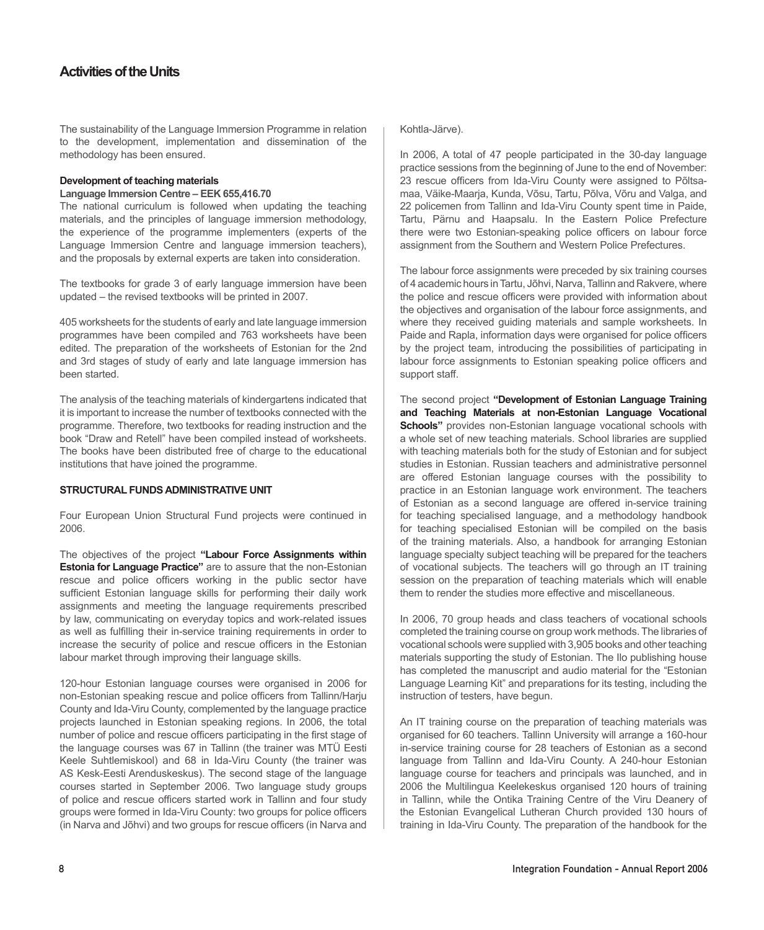The sustainability of the Language Immersion Programme in relation to the development, implementation and dissemination of the methodology has been ensured.

### **Development of teaching materials**

#### **Language Immersion Centre – EEK 655,416.70**

The national curriculum is followed when updating the teaching materials, and the principles of language immersion methodology, the experience of the programme implementers (experts of the Language Immersion Centre and language immersion teachers), and the proposals by external experts are taken into consideration.

The textbooks for grade 3 of early language immersion have been updated – the revised textbooks will be printed in 2007.

405 worksheets for the students of early and late language immersion programmes have been compiled and 763 worksheets have been edited. The preparation of the worksheets of Estonian for the 2nd and 3rd stages of study of early and late language immersion has been started.

The analysis of the teaching materials of kindergartens indicated that it is important to increase the number of textbooks connected with the programme. Therefore, two textbooks for reading instruction and the book "Draw and Retell" have been compiled instead of worksheets. The books have been distributed free of charge to the educational institutions that have joined the programme.

#### **Structural Funds Administrative Unit**

Four European Union Structural Fund projects were continued in 2006.

The objectives of the project **"Labour Force Assignments within Estonia for Language Practice"** are to assure that the non-Estonian rescue and police officers working in the public sector have sufficient Estonian language skills for performing their daily work assignments and meeting the language requirements prescribed by law, communicating on everyday topics and work-related issues as well as fulfilling their in-service training requirements in order to increase the security of police and rescue officers in the Estonian labour market through improving their language skills.

120-hour Estonian language courses were organised in 2006 for non-Estonian speaking rescue and police officers from Tallinn/Harju County and Ida-Viru County, complemented by the language practice projects launched in Estonian speaking regions. In 2006, the total number of police and rescue officers participating in the first stage of the language courses was 67 in Tallinn (the trainer was MTÜ Eesti Keele Suhtlemiskool) and 68 in Ida-Viru County (the trainer was AS Kesk-Eesti Arenduskeskus). The second stage of the language courses started in September 2006. Two language study groups of police and rescue officers started work in Tallinn and four study groups were formed in Ida-Viru County: two groups for police officers (in Narva and Jõhvi) and two groups for rescue officers (in Narva and

Kohtla-Järve).

In 2006, A total of 47 people participated in the 30-day language practice sessions from the beginning of June to the end of November: 23 rescue officers from Ida-Viru County were assigned to Põltsamaa, Väike-Maarja, Kunda, Võsu, Tartu, Põlva, Võru and Valga, and 22 policemen from Tallinn and Ida-Viru County spent time in Paide, Tartu, Pärnu and Haapsalu. In the Eastern Police Prefecture there were two Estonian-speaking police officers on labour force assignment from the Southern and Western Police Prefectures.

The labour force assignments were preceded by six training courses of 4 academic hours in Tartu, Jõhvi, Narva, Tallinn and Rakvere, where the police and rescue officers were provided with information about the objectives and organisation of the labour force assignments, and where they received guiding materials and sample worksheets. In Paide and Rapla, information days were organised for police officers by the project team, introducing the possibilities of participating in labour force assignments to Estonian speaking police officers and support staff.

The second project **"Development of Estonian Language Training and Teaching Materials at non-Estonian Language Vocational Schools**" provides non-Estonian language vocational schools with a whole set of new teaching materials. School libraries are supplied with teaching materials both for the study of Estonian and for subject studies in Estonian. Russian teachers and administrative personnel are offered Estonian language courses with the possibility to practice in an Estonian language work environment. The teachers of Estonian as a second language are offered in-service training for teaching specialised language, and a methodology handbook for teaching specialised Estonian will be compiled on the basis of the training materials. Also, a handbook for arranging Estonian language specialty subject teaching will be prepared for the teachers of vocational subjects. The teachers will go through an IT training session on the preparation of teaching materials which will enable them to render the studies more effective and miscellaneous.

In 2006, 70 group heads and class teachers of vocational schools completed the training course on group work methods. The libraries of vocational schools were supplied with 3,905 books and other teaching materials supporting the study of Estonian. The Ilo publishing house has completed the manuscript and audio material for the "Estonian Language Learning Kit" and preparations for its testing, including the instruction of testers, have begun.

An IT training course on the preparation of teaching materials was organised for 60 teachers. Tallinn University will arrange a 160-hour in-service training course for 28 teachers of Estonian as a second language from Tallinn and Ida-Viru County. A 240-hour Estonian language course for teachers and principals was launched, and in 2006 the Multilingua Keelekeskus organised 120 hours of training in Tallinn, while the Ontika Training Centre of the Viru Deanery of the Estonian Evangelical Lutheran Church provided 130 hours of training in Ida-Viru County. The preparation of the handbook for the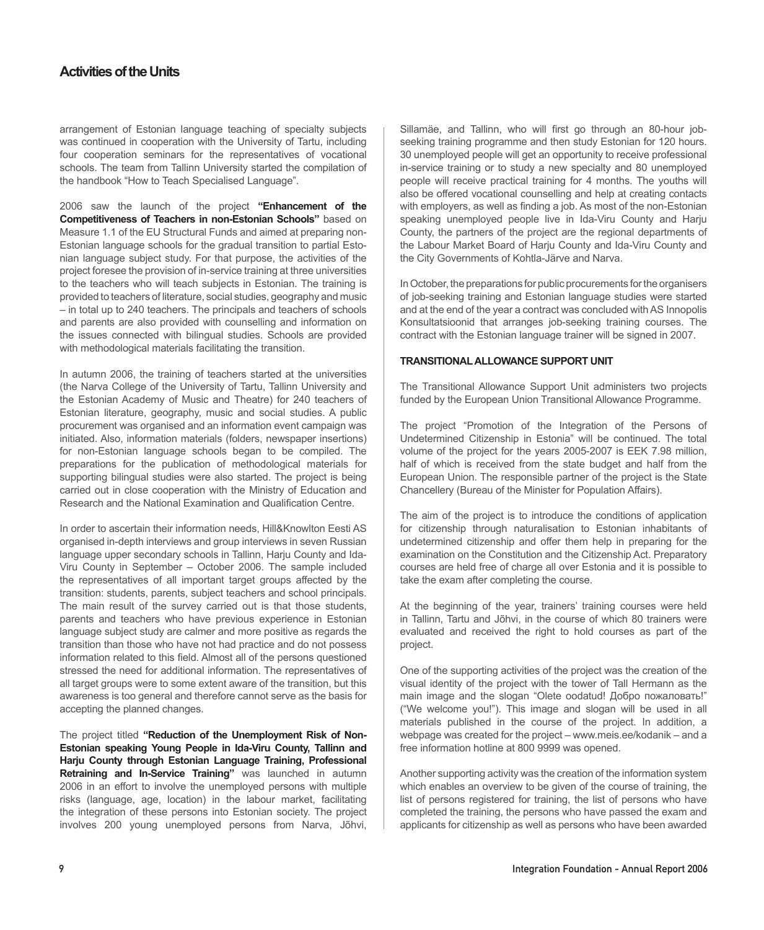arrangement of Estonian language teaching of specialty subjects was continued in cooperation with the University of Tartu, including four cooperation seminars for the representatives of vocational schools. The team from Tallinn University started the compilation of the handbook "How to Teach Specialised Language".

2006 saw the launch of the project **"Enhancement of the Competitiveness of Teachers in non-Estonian Schools"** based on Measure 1.1 of the EU Structural Funds and aimed at preparing non-Estonian language schools for the gradual transition to partial Estonian language subject study. For that purpose, the activities of the project foresee the provision of in-service training at three universities to the teachers who will teach subjects in Estonian. The training is provided to teachers of literature, social studies, geography and music – in total up to 240 teachers. The principals and teachers of schools and parents are also provided with counselling and information on the issues connected with bilingual studies. Schools are provided with methodological materials facilitating the transition.

In autumn 2006, the training of teachers started at the universities (the Narva College of the University of Tartu, Tallinn University and the Estonian Academy of Music and Theatre) for 240 teachers of Estonian literature, geography, music and social studies. A public procurement was organised and an information event campaign was initiated. Also, information materials (folders, newspaper insertions) for non-Estonian language schools began to be compiled. The preparations for the publication of methodological materials for supporting bilingual studies were also started. The project is being carried out in close cooperation with the Ministry of Education and Research and the National Examination and Qualification Centre.

In order to ascertain their information needs, Hill&Knowlton Eesti AS organised in-depth interviews and group interviews in seven Russian language upper secondary schools in Tallinn, Harju County and Ida-Viru County in September – October 2006. The sample included the representatives of all important target groups affected by the transition: students, parents, subject teachers and school principals. The main result of the survey carried out is that those students, parents and teachers who have previous experience in Estonian language subject study are calmer and more positive as regards the transition than those who have not had practice and do not possess information related to this field. Almost all of the persons questioned stressed the need for additional information. The representatives of all target groups were to some extent aware of the transition, but this awareness is too general and therefore cannot serve as the basis for accepting the planned changes.

The project titled **"Reduction of the Unemployment Risk of Non-Estonian speaking Young People in Ida-Viru County, Tallinn and Harju County through Estonian Language Training, Professional Retraining and In-Service Training"** was launched in autumn 2006 in an effort to involve the unemployed persons with multiple risks (language, age, location) in the labour market, facilitating the integration of these persons into Estonian society. The project involves 200 young unemployed persons from Narva, Jõhvi,

Sillamäe, and Tallinn, who will first go through an 80-hour jobseeking training programme and then study Estonian for 120 hours. 30 unemployed people will get an opportunity to receive professional in-service training or to study a new specialty and 80 unemployed people will receive practical training for 4 months. The youths will also be offered vocational counselling and help at creating contacts with employers, as well as finding a job. As most of the non-Estonian speaking unemployed people live in Ida-Viru County and Harju County, the partners of the project are the regional departments of the Labour Market Board of Harju County and Ida-Viru County and the City Governments of Kohtla-Järve and Narva.

In October, the preparations for public procurements for the organisers of job-seeking training and Estonian language studies were started and at the end of the year a contract was concluded with AS Innopolis Konsultatsioonid that arranges job-seeking training courses. The contract with the Estonian language trainer will be signed in 2007.

## **Transitional Allowance Support Unit**

The Transitional Allowance Support Unit administers two projects funded by the European Union Transitional Allowance Programme.

The project "Promotion of the Integration of the Persons of Undetermined Citizenship in Estonia" will be continued. The total volume of the project for the years 2005-2007 is EEK 7.98 million, half of which is received from the state budget and half from the European Union. The responsible partner of the project is the State Chancellery (Bureau of the Minister for Population Affairs).

The aim of the project is to introduce the conditions of application for citizenship through naturalisation to Estonian inhabitants of undetermined citizenship and offer them help in preparing for the examination on the Constitution and the Citizenship Act. Preparatory courses are held free of charge all over Estonia and it is possible to take the exam after completing the course.

At the beginning of the year, trainers' training courses were held in Tallinn, Tartu and Jõhvi, in the course of which 80 trainers were evaluated and received the right to hold courses as part of the project.

One of the supporting activities of the project was the creation of the visual identity of the project with the tower of Tall Hermann as the main image and the slogan "Olete oodatud! Добро пожаловать!" ("We welcome you!"). This image and slogan will be used in all materials published in the course of the project. In addition, a webpage was created for the project – www.meis.ee/kodanik – and a free information hotline at 800 9999 was opened.

Another supporting activity was the creation of the information system which enables an overview to be given of the course of training, the list of persons registered for training, the list of persons who have completed the training, the persons who have passed the exam and applicants for citizenship as well as persons who have been awarded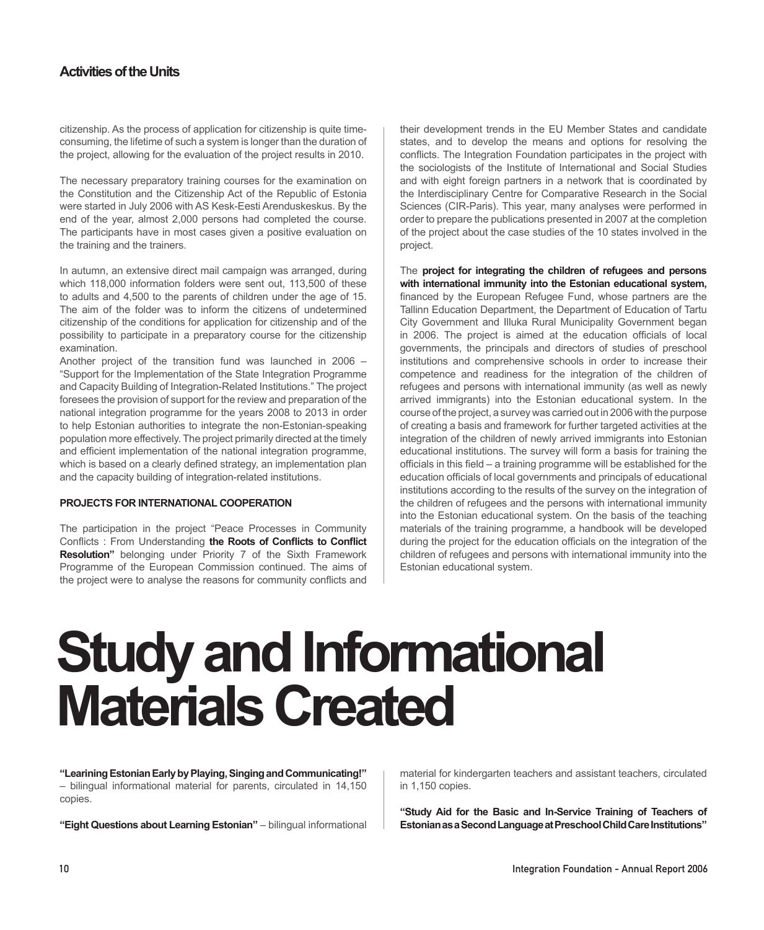citizenship. As the process of application for citizenship is quite timeconsuming, the lifetime of such a system is longer than the duration of the project, allowing for the evaluation of the project results in 2010.

The necessary preparatory training courses for the examination on the Constitution and the Citizenship Act of the Republic of Estonia were started in July 2006 with AS Kesk-Eesti Arenduskeskus. By the end of the year, almost 2,000 persons had completed the course. The participants have in most cases given a positive evaluation on the training and the trainers.

In autumn, an extensive direct mail campaign was arranged, during which 118,000 information folders were sent out, 113,500 of these to adults and 4,500 to the parents of children under the age of 15. The aim of the folder was to inform the citizens of undetermined citizenship of the conditions for application for citizenship and of the possibility to participate in a preparatory course for the citizenship examination.

Another project of the transition fund was launched in 2006 – "Support for the Implementation of the State Integration Programme and Capacity Building of Integration-Related Institutions." The project foresees the provision of support for the review and preparation of the national integration programme for the years 2008 to 2013 in order to help Estonian authorities to integrate the non-Estonian-speaking population more effectively. The project primarily directed at the timely and efficient implementation of the national integration programme, which is based on a clearly defined strategy, an implementation plan and the capacity building of integration-related institutions.

## **Projects for International Cooperation**

The participation in the project "Peace Processes in Community Conflicts : From Understanding **the Roots of Conflicts to Conflict Resolution"** belonging under Priority 7 of the Sixth Framework Programme of the European Commission continued. The aims of the project were to analyse the reasons for community conflicts and

their development trends in the EU Member States and candidate states, and to develop the means and options for resolving the conflicts. The Integration Foundation participates in the project with the sociologists of the Institute of International and Social Studies and with eight foreign partners in a network that is coordinated by the Interdisciplinary Centre for Comparative Research in the Social Sciences (CIR-Paris). This year, many analyses were performed in order to prepare the publications presented in 2007 at the completion of the project about the case studies of the 10 states involved in the project.

The **project for integrating the children of refugees and persons with international immunity into the Estonian educational system,**  financed by the European Refugee Fund, whose partners are the Tallinn Education Department, the Department of Education of Tartu City Government and Illuka Rural Municipality Government began in 2006. The project is aimed at the education officials of local governments, the principals and directors of studies of preschool institutions and comprehensive schools in order to increase their competence and readiness for the integration of the children of refugees and persons with international immunity (as well as newly arrived immigrants) into the Estonian educational system. In the course of the project, a survey was carried out in 2006 with the purpose of creating a basis and framework for further targeted activities at the integration of the children of newly arrived immigrants into Estonian educational institutions. The survey will form a basis for training the officials in this field – a training programme will be established for the education officials of local governments and principals of educational institutions according to the results of the survey on the integration of the children of refugees and the persons with international immunity into the Estonian educational system. On the basis of the teaching materials of the training programme, a handbook will be developed during the project for the education officials on the integration of the children of refugees and persons with international immunity into the Estonian educational system.

## **Study and Informational Materials Created**

**"Learining Estonian Early by Playing, Singing and Communicating!"**  – bilingual informational material for parents, circulated in 14,150 copies.

**"Eight Questions about Learning Estonian"** – bilingual informational

material for kindergarten teachers and assistant teachers, circulated in 1,150 copies.

**"Study Aid for the Basic and In-Service Training of Teachers of EstonianasaSecondLanguageatPreschoolChildCareInstitutions"**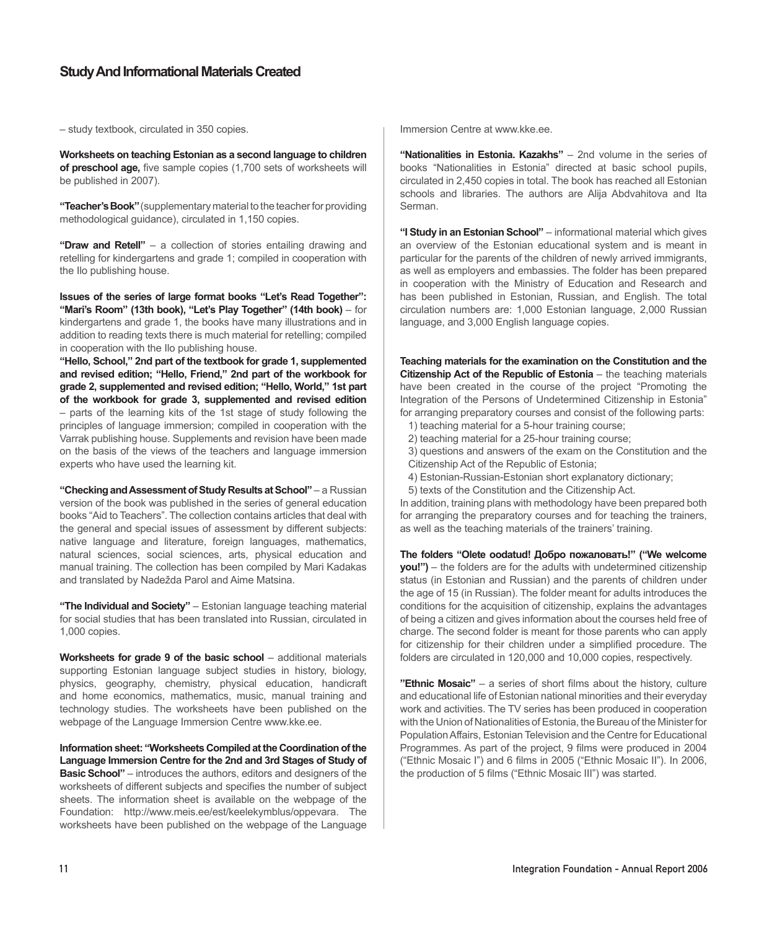## **Study And Informational Materials Created**

– study textbook, circulated in 350 copies.

**Worksheets on teaching Estonian as a second language to children of preschool age,** five sample copies (1,700 sets of worksheets will be published in 2007).

**"Teacher'sBook"**(supplementary material to the teacher for providing methodological guidance), circulated in 1,150 copies.

**"Draw and Retell"** – a collection of stories entailing drawing and retelling for kindergartens and grade 1; compiled in cooperation with the Ilo publishing house.

**Issues of the series of large format books "Let's Read Together": "Mari's Room" (13th book), "Let's Play Together" (14th book)** – for kindergartens and grade 1, the books have many illustrations and in addition to reading texts there is much material for retelling; compiled in cooperation with the Ilo publishing house.

**"Hello, School," 2nd part of the textbook for grade 1, supplemented and revised edition; "Hello, Friend," 2nd part of the workbook for grade 2, supplemented and revised edition; "Hello, World," 1st part of the workbook for grade 3, supplemented and revised edition** – parts of the learning kits of the 1st stage of study following the principles of language immersion; compiled in cooperation with the Varrak publishing house. Supplements and revision have been made on the basis of the views of the teachers and language immersion experts who have used the learning kit.

**"CheckingandAssessmentofStudy Results atSchool"** – a Russian version of the book was published in the series of general education books "Aid to Teachers". The collection contains articles that deal with the general and special issues of assessment by different subjects: native language and literature, foreign languages, mathematics, natural sciences, social sciences, arts, physical education and manual training. The collection has been compiled by Mari Kadakas and translated by Nadežda Parol and Aime Matsina.

**"The Individual and Society"** – Estonian language teaching material for social studies that has been translated into Russian, circulated in 1,000 copies.

**Worksheets for grade 9 of the basic school** – additional materials supporting Estonian language subject studies in history, biology, physics, geography, chemistry, physical education, handicraft and home economics, mathematics, music, manual training and technology studies. The worksheets have been published on the webpage of the Language Immersion Centre www.kke.ee.

**Information sheet: "Worksheets Compiled at the Coordination of the Language Immersion Centre for the 2nd and 3rd Stages of Study of Basic School"** – introduces the authors, editors and designers of the worksheets of different subjects and specifies the number of subject sheets. The information sheet is available on the webpage of the Foundation: http://www.meis.ee/est/keelekymblus/oppevara. The worksheets have been published on the webpage of the Language

Immersion Centre at www.kke.ee.

**"Nationalities in Estonia. Kazakhs"** – 2nd volume in the series of books "Nationalities in Estonia" directed at basic school pupils, circulated in 2,450 copies in total. The book has reached all Estonian schools and libraries. The authors are Alija Abdvahitova and Ita Serman.

**"I Study in an Estonian School"** – informational material which gives an overview of the Estonian educational system and is meant in particular for the parents of the children of newly arrived immigrants, as well as employers and embassies. The folder has been prepared in cooperation with the Ministry of Education and Research and has been published in Estonian, Russian, and English. The total circulation numbers are: 1,000 Estonian language, 2,000 Russian language, and 3,000 English language copies.

**Teaching materials for the examination on the Constitution and the Citizenship Act of the Republic of Estonia** – the teaching materials have been created in the course of the project "Promoting the Integration of the Persons of Undetermined Citizenship in Estonia" for arranging preparatory courses and consist of the following parts:

- 1) teaching material for a 5-hour training course;
- 2) teaching material for a 25-hour training course;
- 3) questions and answers of the exam on the Constitution and the Citizenship Act of the Republic of Estonia;
- 4) Estonian-Russian-Estonian short explanatory dictionary;
- 5) texts of the Constitution and the Citizenship Act.

In addition, training plans with methodology have been prepared both for arranging the preparatory courses and for teaching the trainers, as well as the teaching materials of the trainers' training.

**The folders "Olete oodatud! Добро пожаловать!" ("We welcome you!")** – the folders are for the adults with undetermined citizenship status (in Estonian and Russian) and the parents of children under the age of 15 (in Russian). The folder meant for adults introduces the conditions for the acquisition of citizenship, explains the advantages of being a citizen and gives information about the courses held free of charge. The second folder is meant for those parents who can apply for citizenship for their children under a simplified procedure. The folders are circulated in 120,000 and 10,000 copies, respectively.

**"Ethnic Mosaic"** – a series of short films about the history, culture and educational life of Estonian national minorities and their everyday work and activities. The TV series has been produced in cooperation with the Union of Nationalities of Estonia, the Bureau of the Minister for Population Affairs, Estonian Television and the Centre for Educational Programmes. As part of the project, 9 films were produced in 2004 ("Ethnic Mosaic I") and 6 films in 2005 ("Ethnic Mosaic II"). In 2006, the production of 5 films ("Ethnic Mosaic III") was started.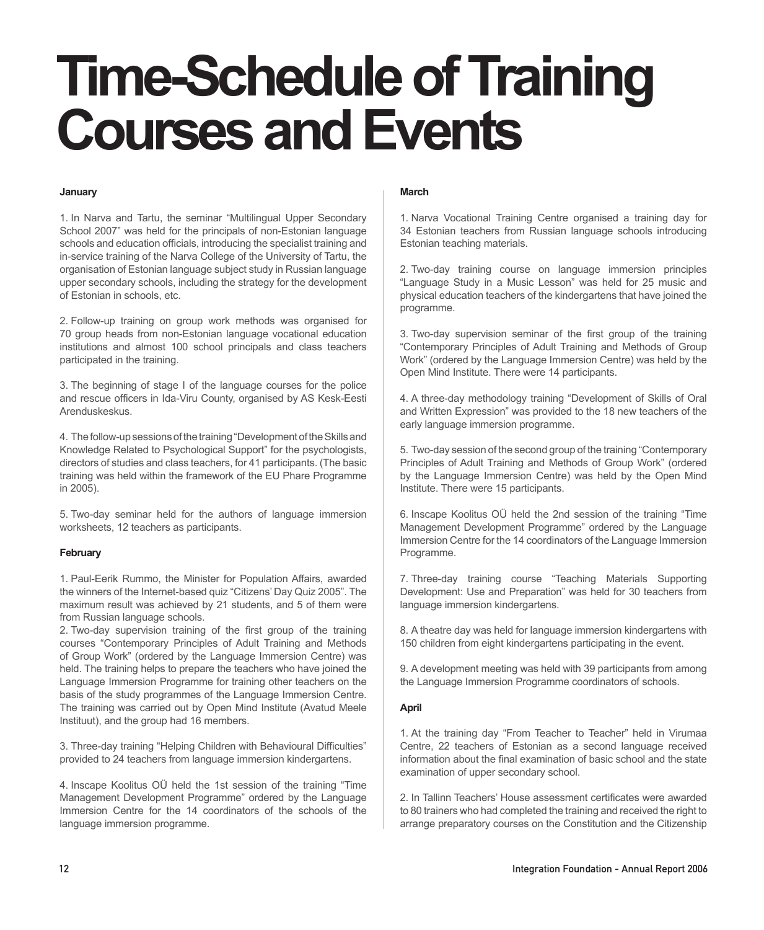## **January**

1. In Narva and Tartu, the seminar "Multilingual Upper Secondary School 2007" was held for the principals of non-Estonian language schools and education officials, introducing the specialist training and in-service training of the Narva College of the University of Tartu, the organisation of Estonian language subject study in Russian language upper secondary schools, including the strategy for the development of Estonian in schools, etc.

2. Follow-up training on group work methods was organised for 70 group heads from non-Estonian language vocational education institutions and almost 100 school principals and class teachers participated in the training.

3. The beginning of stage I of the language courses for the police and rescue officers in Ida-Viru County, organised by AS Kesk-Eesti Arenduskeskus.

4. The follow-up sessions of the training "Development of the Skills and Knowledge Related to Psychological Support" for the psychologists, directors of studies and class teachers, for 41 participants. (The basic training was held within the framework of the EU Phare Programme in 2005).

5. Two-day seminar held for the authors of language immersion worksheets, 12 teachers as participants.

## **February**

1. Paul-Eerik Rummo, the Minister for Population Affairs, awarded the winners of the Internet-based quiz "Citizens' Day Quiz 2005". The maximum result was achieved by 21 students, and 5 of them were from Russian language schools.

2. Two-day supervision training of the first group of the training courses "Contemporary Principles of Adult Training and Methods of Group Work" (ordered by the Language Immersion Centre) was held. The training helps to prepare the teachers who have joined the Language Immersion Programme for training other teachers on the basis of the study programmes of the Language Immersion Centre. The training was carried out by Open Mind Institute (Avatud Meele Instituut), and the group had 16 members.

3. Three-day training "Helping Children with Behavioural Difficulties" provided to 24 teachers from language immersion kindergartens.

4. Inscape Koolitus OÜ held the 1st session of the training "Time Management Development Programme" ordered by the Language Immersion Centre for the 14 coordinators of the schools of the language immersion programme.

## **March**

1. Narva Vocational Training Centre organised a training day for 34 Estonian teachers from Russian language schools introducing Estonian teaching materials.

2. Two-day training course on language immersion principles "Language Study in a Music Lesson" was held for 25 music and physical education teachers of the kindergartens that have joined the programme.

3. Two-day supervision seminar of the first group of the training "Contemporary Principles of Adult Training and Methods of Group Work" (ordered by the Language Immersion Centre) was held by the Open Mind Institute. There were 14 participants.

4. A three-day methodology training "Development of Skills of Oral and Written Expression" was provided to the 18 new teachers of the early language immersion programme.

5. Two-day session of the second group of the training "Contemporary Principles of Adult Training and Methods of Group Work" (ordered by the Language Immersion Centre) was held by the Open Mind Institute. There were 15 participants.

6. Inscape Koolitus OÜ held the 2nd session of the training "Time Management Development Programme" ordered by the Language Immersion Centre for the 14 coordinators of the Language Immersion Programme.

7. Three-day training course "Teaching Materials Supporting Development: Use and Preparation" was held for 30 teachers from language immersion kindergartens.

8. A theatre day was held for language immersion kindergartens with 150 children from eight kindergartens participating in the event.

9. A development meeting was held with 39 participants from among the Language Immersion Programme coordinators of schools.

## **April**

1. At the training day "From Teacher to Teacher" held in Virumaa Centre, 22 teachers of Estonian as a second language received information about the final examination of basic school and the state examination of upper secondary school.

2. In Tallinn Teachers' House assessment certificates were awarded to 80 trainers who had completed the training and received the right to arrange preparatory courses on the Constitution and the Citizenship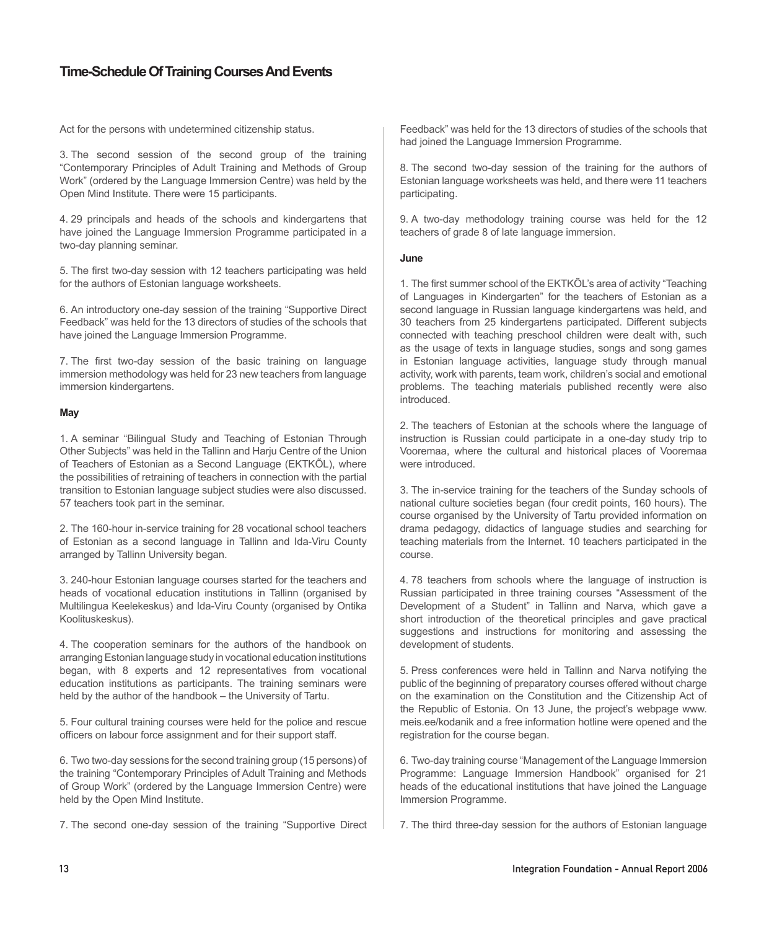Act for the persons with undetermined citizenship status.

3. The second session of the second group of the training "Contemporary Principles of Adult Training and Methods of Group Work" (ordered by the Language Immersion Centre) was held by the Open Mind Institute. There were 15 participants.

4. 29 principals and heads of the schools and kindergartens that have joined the Language Immersion Programme participated in a two-day planning seminar.

5. The first two-day session with 12 teachers participating was held for the authors of Estonian language worksheets.

6. An introductory one-day session of the training "Supportive Direct Feedback" was held for the 13 directors of studies of the schools that have joined the Language Immersion Programme.

7. The first two-day session of the basic training on language immersion methodology was held for 23 new teachers from language immersion kindergartens.

## **May**

1. A seminar "Bilingual Study and Teaching of Estonian Through Other Subjects" was held in the Tallinn and Harju Centre of the Union of Teachers of Estonian as a Second Language (EKTKÕL), where the possibilities of retraining of teachers in connection with the partial transition to Estonian language subject studies were also discussed. 57 teachers took part in the seminar.

2. The 160-hour in-service training for 28 vocational school teachers of Estonian as a second language in Tallinn and Ida-Viru County arranged by Tallinn University began.

3. 240-hour Estonian language courses started for the teachers and heads of vocational education institutions in Tallinn (organised by Multilingua Keelekeskus) and Ida-Viru County (organised by Ontika Koolituskeskus).

4. The cooperation seminars for the authors of the handbook on arranging Estonian language study in vocational education institutions began, with 8 experts and 12 representatives from vocational education institutions as participants. The training seminars were held by the author of the handbook – the University of Tartu.

5. Four cultural training courses were held for the police and rescue officers on labour force assignment and for their support staff.

6. Two two-day sessions for the second training group (15 persons) of the training "Contemporary Principles of Adult Training and Methods of Group Work" (ordered by the Language Immersion Centre) were held by the Open Mind Institute.

7. The second one-day session of the training "Supportive Direct

Feedback" was held for the 13 directors of studies of the schools that had joined the Language Immersion Programme.

8. The second two-day session of the training for the authors of Estonian language worksheets was held, and there were 11 teachers participating.

9. A two-day methodology training course was held for the 12 teachers of grade 8 of late language immersion.

### **June**

1. The first summer school of the EKTKÕL's area of activity "Teaching of Languages in Kindergarten" for the teachers of Estonian as a second language in Russian language kindergartens was held, and 30 teachers from 25 kindergartens participated. Different subjects connected with teaching preschool children were dealt with, such as the usage of texts in language studies, songs and song games in Estonian language activities, language study through manual activity, work with parents, team work, children's social and emotional problems. The teaching materials published recently were also introduced.

2. The teachers of Estonian at the schools where the language of instruction is Russian could participate in a one-day study trip to Vooremaa, where the cultural and historical places of Vooremaa were introduced.

3. The in-service training for the teachers of the Sunday schools of national culture societies began (four credit points, 160 hours). The course organised by the University of Tartu provided information on drama pedagogy, didactics of language studies and searching for teaching materials from the Internet. 10 teachers participated in the course.

4. 78 teachers from schools where the language of instruction is Russian participated in three training courses "Assessment of the Development of a Student" in Tallinn and Narva, which gave a short introduction of the theoretical principles and gave practical suggestions and instructions for monitoring and assessing the development of students.

5. Press conferences were held in Tallinn and Narva notifying the public of the beginning of preparatory courses offered without charge on the examination on the Constitution and the Citizenship Act of the Republic of Estonia. On 13 June, the project's webpage www. meis.ee/kodanik and a free information hotline were opened and the registration for the course began.

6. Two-day training course "Management of the Language Immersion Programme: Language Immersion Handbook" organised for 21 heads of the educational institutions that have joined the Language Immersion Programme.

7. The third three-day session for the authors of Estonian language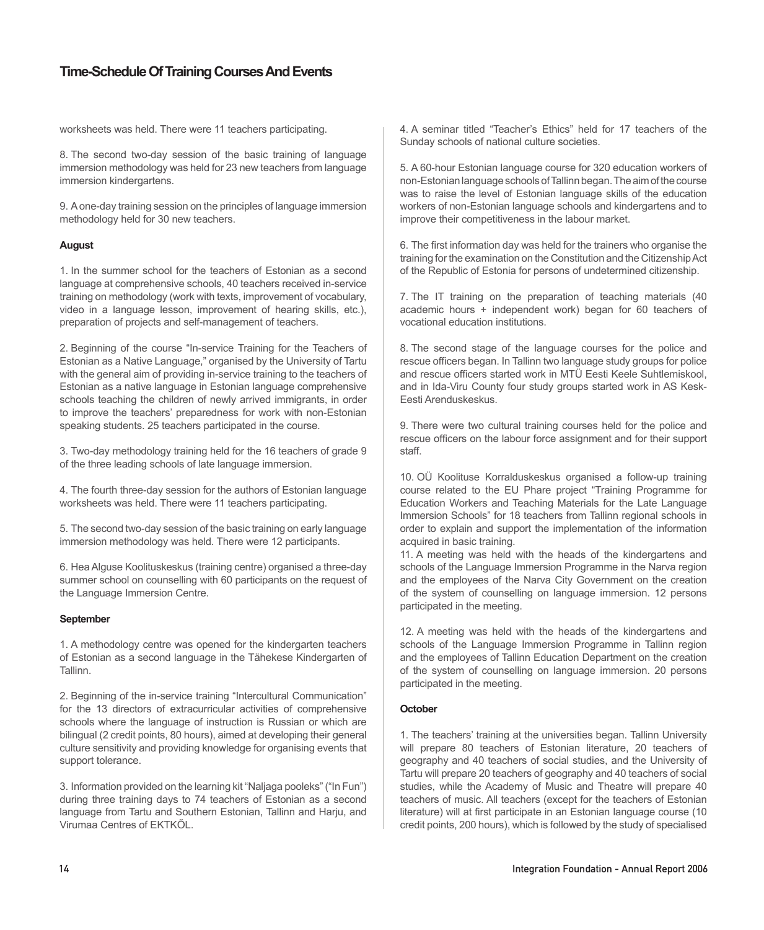worksheets was held. There were 11 teachers participating.

8. The second two-day session of the basic training of language immersion methodology was held for 23 new teachers from language immersion kindergartens.

9. A one-day training session on the principles of language immersion methodology held for 30 new teachers.

## **August**

1. In the summer school for the teachers of Estonian as a second language at comprehensive schools, 40 teachers received in-service training on methodology (work with texts, improvement of vocabulary, video in a language lesson, improvement of hearing skills, etc.), preparation of projects and self-management of teachers.

2. Beginning of the course "In-service Training for the Teachers of Estonian as a Native Language," organised by the University of Tartu with the general aim of providing in-service training to the teachers of Estonian as a native language in Estonian language comprehensive schools teaching the children of newly arrived immigrants, in order to improve the teachers' preparedness for work with non-Estonian speaking students. 25 teachers participated in the course.

3. Two-day methodology training held for the 16 teachers of grade 9 of the three leading schools of late language immersion.

4. The fourth three-day session for the authors of Estonian language worksheets was held. There were 11 teachers participating.

5. The second two-day session of the basic training on early language immersion methodology was held. There were 12 participants.

6. Hea Alguse Koolituskeskus (training centre) organised a three-day summer school on counselling with 60 participants on the request of the Language Immersion Centre.

#### **September**

1. A methodology centre was opened for the kindergarten teachers of Estonian as a second language in the Tähekese Kindergarten of Tallinn.

2. Beginning of the in-service training "Intercultural Communication" for the 13 directors of extracurricular activities of comprehensive schools where the language of instruction is Russian or which are bilingual (2 credit points, 80 hours), aimed at developing their general culture sensitivity and providing knowledge for organising events that support tolerance.

3. Information provided on the learning kit "Naljaga pooleks" ("In Fun") during three training days to 74 teachers of Estonian as a second language from Tartu and Southern Estonian, Tallinn and Harju, and Virumaa Centres of EKTKÕL.

4. A seminar titled "Teacher's Ethics" held for 17 teachers of the Sunday schools of national culture societies.

5. A 60-hour Estonian language course for 320 education workers of non-Estonian language schools of Tallinn began. The aim of the course was to raise the level of Estonian language skills of the education workers of non-Estonian language schools and kindergartens and to improve their competitiveness in the labour market.

6. The first information day was held for the trainers who organise the training for the examination on the Constitution and the Citizenship Act of the Republic of Estonia for persons of undetermined citizenship.

7. The IT training on the preparation of teaching materials (40 academic hours + independent work) began for 60 teachers of vocational education institutions.

8. The second stage of the language courses for the police and rescue officers began. In Tallinn two language study groups for police and rescue officers started work in MTÜ Eesti Keele Suhtlemiskool, and in Ida-Viru County four study groups started work in AS Kesk-Eesti Arenduskeskus.

9. There were two cultural training courses held for the police and rescue officers on the labour force assignment and for their support staff.

10. OÜ Koolituse Korralduskeskus organised a follow-up training course related to the EU Phare project "Training Programme for Education Workers and Teaching Materials for the Late Language Immersion Schools" for 18 teachers from Tallinn regional schools in order to explain and support the implementation of the information acquired in basic training.

11. A meeting was held with the heads of the kindergartens and schools of the Language Immersion Programme in the Narva region and the employees of the Narva City Government on the creation of the system of counselling on language immersion. 12 persons participated in the meeting.

12. A meeting was held with the heads of the kindergartens and schools of the Language Immersion Programme in Tallinn region and the employees of Tallinn Education Department on the creation of the system of counselling on language immersion. 20 persons participated in the meeting.

## **October**

1. The teachers' training at the universities began. Tallinn University will prepare 80 teachers of Estonian literature, 20 teachers of geography and 40 teachers of social studies, and the University of Tartu will prepare 20 teachers of geography and 40 teachers of social studies, while the Academy of Music and Theatre will prepare 40 teachers of music. All teachers (except for the teachers of Estonian literature) will at first participate in an Estonian language course (10 credit points, 200 hours), which is followed by the study of specialised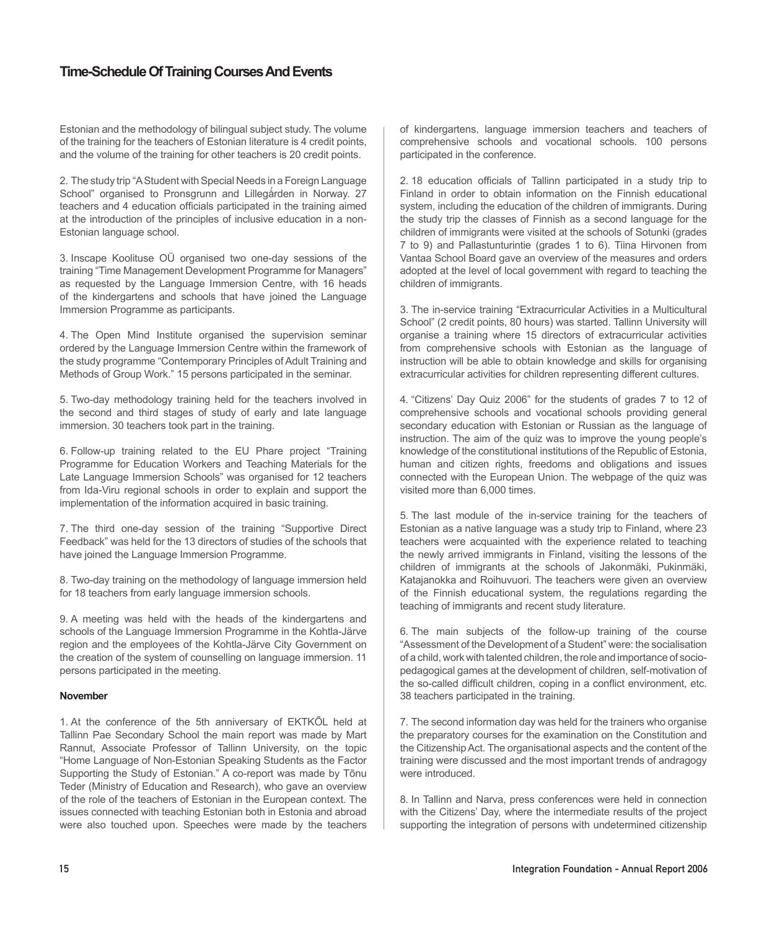Estonian and the methodology of bilingual subject study. The volume of the training for the teachers of Estonian literature is 4 credit points, and the volume of the training for other teachers is 20 credit points.

2. The study trip "A Student with Special Needs in a Foreign Language School" organised to Pronsgrunn and Lillegården in Norway. 27 teachers and 4 education officials participated in the training aimed at the introduction of the principles of inclusive education in a non-Estonian language school.

3. Inscape Koolituse OÜ organised two one-day sessions of the training "Time Management Development Programme for Managers" as requested by the Language Immersion Centre, with 16 heads of the kindergartens and schools that have joined the Language Immersion Programme as participants.

4. The Open Mind Institute organised the supervision seminar ordered by the Language Immersion Centre within the framework of the study programme "Contemporary Principles of Adult Training and Methods of Group Work." 15 persons participated in the seminar.

5. Two-day methodology training held for the teachers involved in the second and third stages of study of early and late language immersion. 30 teachers took part in the training.

6. Follow-up training related to the EU Phare project "Training Programme for Education Workers and Teaching Materials for the Late Language Immersion Schools" was organised for 12 teachers from Ida-Viru regional schools in order to explain and support the implementation of the information acquired in basic training.

7. The third one-day session of the training "Supportive Direct Feedback" was held for the 13 directors of studies of the schools that have joined the Language Immersion Programme.

8. Two-day training on the methodology of language immersion held for 18 teachers from early language immersion schools.

9. A meeting was held with the heads of the kindergartens and schools of the Language Immersion Programme in the Kohtla-Järve region and the employees of the Kohtla-Järve City Government on the creation of the system of counselling on language immersion. 11 persons participated in the meeting.

## **November**

1. At the conference of the 5th anniversary of EKTKÕL held at Tallinn Pae Secondary School the main report was made by Mart Rannut, Associate Professor of Tallinn University, on the topic "Home Language of Non-Estonian Speaking Students as the Factor Supporting the Study of Estonian." A co-report was made by Tõnu Teder (Ministry of Education and Research), who gave an overview of the role of the teachers of Estonian in the European context. The issues connected with teaching Estonian both in Estonia and abroad were also touched upon. Speeches were made by the teachers

of kindergartens, language immersion teachers and teachers of comprehensive schools and vocational schools. 100 persons participated in the conference.

2. 18 education officials of Tallinn participated in a study trip to Finland in order to obtain information on the Finnish educational system, including the education of the children of immigrants. During the study trip the classes of Finnish as a second language for the children of immigrants were visited at the schools of Sotunki (grades 7 to 9) and Pallastunturintie (grades 1 to 6). Tiina Hirvonen from Vantaa School Board gave an overview of the measures and orders adopted at the level of local government with regard to teaching the children of immigrants.

3. The in-service training "Extracurricular Activities in a Multicultural School" (2 credit points, 80 hours) was started. Tallinn University will organise a training where 15 directors of extracurricular activities from comprehensive schools with Estonian as the language of instruction will be able to obtain knowledge and skills for organising extracurricular activities for children representing different cultures.

4. "Citizens' Day Quiz 2006" for the students of grades 7 to 12 of comprehensive schools and vocational schools providing general secondary education with Estonian or Russian as the language of instruction. The aim of the quiz was to improve the young people's knowledge of the constitutional institutions of the Republic of Estonia, human and citizen rights, freedoms and obligations and issues connected with the European Union. The webpage of the quiz was visited more than 6,000 times.

5. The last module of the in-service training for the teachers of Estonian as a native language was a study trip to Finland, where 23 teachers were acquainted with the experience related to teaching the newly arrived immigrants in Finland, visiting the lessons of the children of immigrants at the schools of Jakonmäki, Pukinmäki, Katajanokka and Roihuvuori. The teachers were given an overview of the Finnish educational system, the regulations regarding the teaching of immigrants and recent study literature.

6. The main subjects of the follow-up training of the course "Assessment of the Development of a Student" were: the socialisation of a child, work with talented children, the role and importance of sociopedagogical games at the development of children, self-motivation of the so-called difficult children, coping in a conflict environment, etc. 38 teachers participated in the training.

7. The second information day was held for the trainers who organise the preparatory courses for the examination on the Constitution and the Citizenship Act. The organisational aspects and the content of the training were discussed and the most important trends of andragogy were introduced.

8. In Tallinn and Narva, press conferences were held in connection with the Citizens' Day, where the intermediate results of the project supporting the integration of persons with undetermined citizenship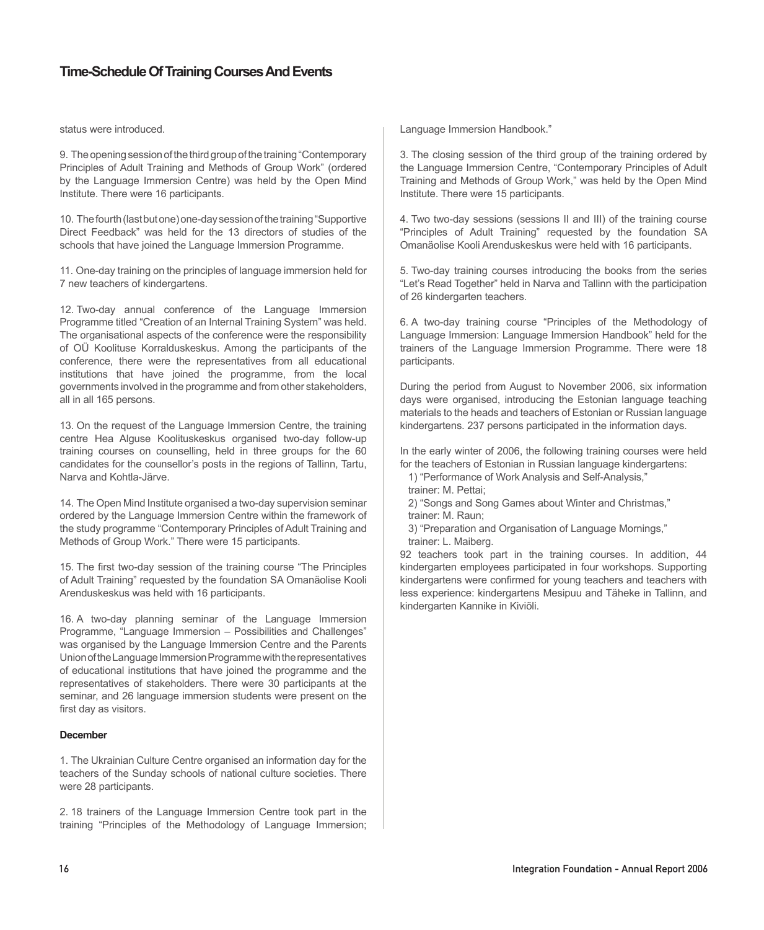status were introduced.

9. The opening session of the third group of the training "Contemporary Principles of Adult Training and Methods of Group Work" (ordered by the Language Immersion Centre) was held by the Open Mind Institute. There were 16 participants.

10. The fourth (last but one) one-day session of the training "Supportive Direct Feedback" was held for the 13 directors of studies of the schools that have joined the Language Immersion Programme.

11. One-day training on the principles of language immersion held for 7 new teachers of kindergartens.

12. Two-day annual conference of the Language Immersion Programme titled "Creation of an Internal Training System" was held. The organisational aspects of the conference were the responsibility of OÜ Koolituse Korralduskeskus. Among the participants of the conference, there were the representatives from all educational institutions that have joined the programme, from the local governments involved in the programme and from other stakeholders, all in all 165 persons.

13. On the request of the Language Immersion Centre, the training centre Hea Alguse Koolituskeskus organised two-day follow-up training courses on counselling, held in three groups for the 60 candidates for the counsellor's posts in the regions of Tallinn, Tartu, Narva and Kohtla-Järve.

14. The Open Mind Institute organised a two-day supervision seminar ordered by the Language Immersion Centre within the framework of the study programme "Contemporary Principles of Adult Training and Methods of Group Work." There were 15 participants.

15. The first two-day session of the training course "The Principles of Adult Training" requested by the foundation SA Omanäolise Kooli Arenduskeskus was held with 16 participants.

16. A two-day planning seminar of the Language Immersion Programme, "Language Immersion – Possibilities and Challenges" was organised by the Language Immersion Centre and the Parents Union of the Language Immersion Programme with the representatives of educational institutions that have joined the programme and the representatives of stakeholders. There were 30 participants at the seminar, and 26 language immersion students were present on the first day as visitors.

## **December**

1. The Ukrainian Culture Centre organised an information day for the teachers of the Sunday schools of national culture societies. There were 28 participants.

2. 18 trainers of the Language Immersion Centre took part in the training "Principles of the Methodology of Language Immersion; Language Immersion Handbook."

3. The closing session of the third group of the training ordered by the Language Immersion Centre, "Contemporary Principles of Adult Training and Methods of Group Work," was held by the Open Mind Institute. There were 15 participants.

4. Two two-day sessions (sessions II and III) of the training course "Principles of Adult Training" requested by the foundation SA Omanäolise Kooli Arenduskeskus were held with 16 participants.

5. Two-day training courses introducing the books from the series "Let's Read Together" held in Narva and Tallinn with the participation of 26 kindergarten teachers.

6. A two-day training course "Principles of the Methodology of Language Immersion: Language Immersion Handbook" held for the trainers of the Language Immersion Programme. There were 18 participants.

During the period from August to November 2006, six information days were organised, introducing the Estonian language teaching materials to the heads and teachers of Estonian or Russian language kindergartens. 237 persons participated in the information days.

In the early winter of 2006, the following training courses were held for the teachers of Estonian in Russian language kindergartens:

1) "Performance of Work Analysis and Self-Analysis,"

trainer: M. Pettai;

2) "Songs and Song Games about Winter and Christmas," trainer: M. Raun;

3) "Preparation and Organisation of Language Mornings,"

trainer: L. Maiberg.

92 teachers took part in the training courses. In addition, 44 kindergarten employees participated in four workshops. Supporting kindergartens were confirmed for young teachers and teachers with less experience: kindergartens Mesipuu and Täheke in Tallinn, and kindergarten Kannike in Kiviõli.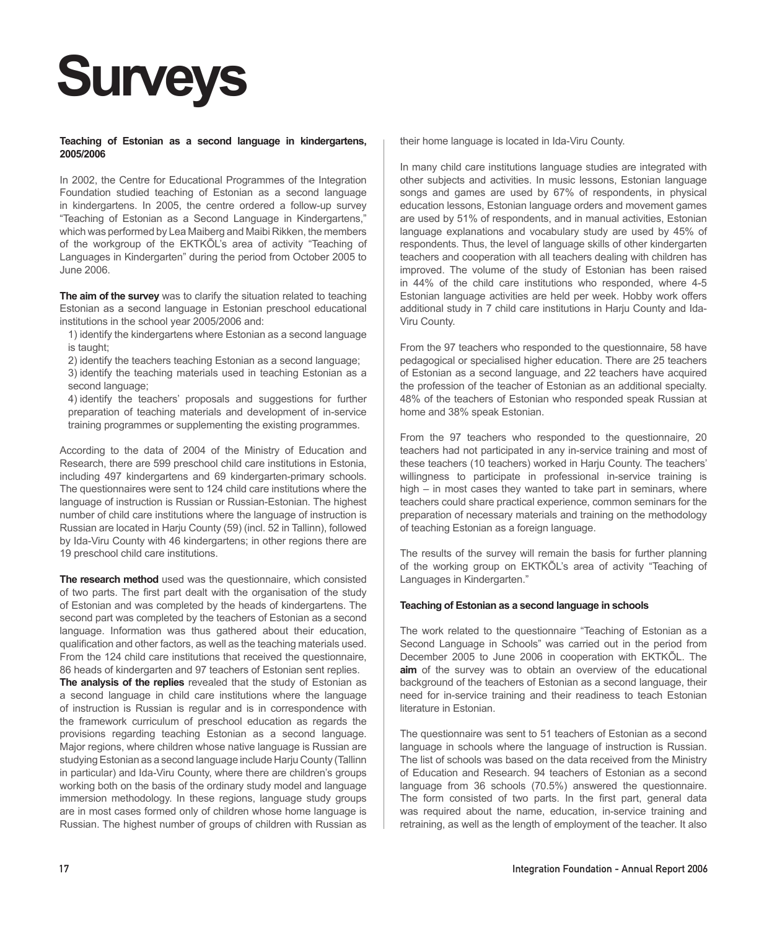# **Surveys**

## **Teaching of Estonian as a second language in kindergartens, 2005/2006**

In 2002, the Centre for Educational Programmes of the Integration Foundation studied teaching of Estonian as a second language in kindergartens. In 2005, the centre ordered a follow-up survey "Teaching of Estonian as a Second Language in Kindergartens," which was performed by Lea Maiberg and Maibi Rikken, the members of the workgroup of the EKTKÕL's area of activity "Teaching of Languages in Kindergarten" during the period from October 2005 to June 2006.

**The aim of the survey** was to clarify the situation related to teaching Estonian as a second language in Estonian preschool educational institutions in the school year 2005/2006 and:

1) identify the kindergartens where Estonian as a second language is taught;

2) identify the teachers teaching Estonian as a second language;

3) identify the teaching materials used in teaching Estonian as a second language;

4) identify the teachers' proposals and suggestions for further preparation of teaching materials and development of in-service training programmes or supplementing the existing programmes.

According to the data of 2004 of the Ministry of Education and Research, there are 599 preschool child care institutions in Estonia, including 497 kindergartens and 69 kindergarten-primary schools. The questionnaires were sent to 124 child care institutions where the language of instruction is Russian or Russian-Estonian. The highest number of child care institutions where the language of instruction is Russian are located in Harju County (59) (incl. 52 in Tallinn), followed by Ida-Viru County with 46 kindergartens; in other regions there are 19 preschool child care institutions.

**The research method** used was the questionnaire, which consisted of two parts. The first part dealt with the organisation of the study of Estonian and was completed by the heads of kindergartens. The second part was completed by the teachers of Estonian as a second language. Information was thus gathered about their education, qualification and other factors, as well as the teaching materials used. From the 124 child care institutions that received the questionnaire, 86 heads of kindergarten and 97 teachers of Estonian sent replies.

**The analysis of the replies** revealed that the study of Estonian as a second language in child care institutions where the language of instruction is Russian is regular and is in correspondence with the framework curriculum of preschool education as regards the provisions regarding teaching Estonian as a second language. Major regions, where children whose native language is Russian are studying Estonian as a second language include Harju County (Tallinn in particular) and Ida-Viru County, where there are children's groups working both on the basis of the ordinary study model and language immersion methodology. In these regions, language study groups are in most cases formed only of children whose home language is Russian. The highest number of groups of children with Russian as

their home language is located in Ida-Viru County.

In many child care institutions language studies are integrated with other subjects and activities. In music lessons, Estonian language songs and games are used by 67% of respondents, in physical education lessons, Estonian language orders and movement games are used by 51% of respondents, and in manual activities, Estonian language explanations and vocabulary study are used by 45% of respondents. Thus, the level of language skills of other kindergarten teachers and cooperation with all teachers dealing with children has improved. The volume of the study of Estonian has been raised in 44% of the child care institutions who responded, where 4-5 Estonian language activities are held per week. Hobby work offers additional study in 7 child care institutions in Harju County and Ida-Viru County.

From the 97 teachers who responded to the questionnaire, 58 have pedagogical or specialised higher education. There are 25 teachers of Estonian as a second language, and 22 teachers have acquired the profession of the teacher of Estonian as an additional specialty. 48% of the teachers of Estonian who responded speak Russian at home and 38% speak Estonian.

From the 97 teachers who responded to the questionnaire, 20 teachers had not participated in any in-service training and most of these teachers (10 teachers) worked in Harju County. The teachers' willingness to participate in professional in-service training is high – in most cases they wanted to take part in seminars, where teachers could share practical experience, common seminars for the preparation of necessary materials and training on the methodology of teaching Estonian as a foreign language.

The results of the survey will remain the basis for further planning of the working group on EKTKÕL's area of activity "Teaching of Languages in Kindergarten."

## **Teaching of Estonian as a second language in schools**

The work related to the questionnaire "Teaching of Estonian as a Second Language in Schools" was carried out in the period from December 2005 to June 2006 in cooperation with EKTKÕL. The **aim** of the survey was to obtain an overview of the educational background of the teachers of Estonian as a second language, their need for in-service training and their readiness to teach Estonian literature in Estonian.

The questionnaire was sent to 51 teachers of Estonian as a second language in schools where the language of instruction is Russian. The list of schools was based on the data received from the Ministry of Education and Research. 94 teachers of Estonian as a second language from 36 schools (70.5%) answered the questionnaire. The form consisted of two parts. In the first part, general data was required about the name, education, in-service training and retraining, as well as the length of employment of the teacher. It also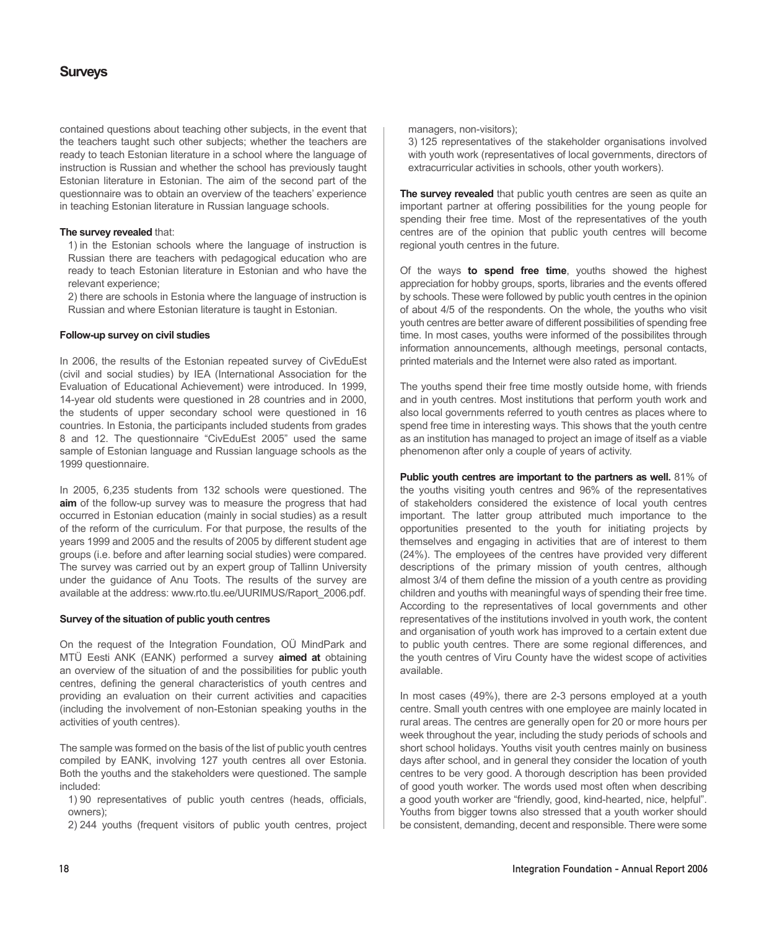## **Surveys**

contained questions about teaching other subjects, in the event that the teachers taught such other subjects; whether the teachers are ready to teach Estonian literature in a school where the language of instruction is Russian and whether the school has previously taught Estonian literature in Estonian. The aim of the second part of the questionnaire was to obtain an overview of the teachers' experience in teaching Estonian literature in Russian language schools.

## **The survey revealed** that:

1) in the Estonian schools where the language of instruction is Russian there are teachers with pedagogical education who are ready to teach Estonian literature in Estonian and who have the relevant experience;

2) there are schools in Estonia where the language of instruction is Russian and where Estonian literature is taught in Estonian.

## **Follow-up survey on civil studies**

In 2006, the results of the Estonian repeated survey of CivEduEst (civil and social studies) by IEA (International Association for the Evaluation of Educational Achievement) were introduced. In 1999, 14-year old students were questioned in 28 countries and in 2000, the students of upper secondary school were questioned in 16 countries. In Estonia, the participants included students from grades 8 and 12. The questionnaire "CivEduEst 2005" used the same sample of Estonian language and Russian language schools as the 1999 questionnaire.

In 2005, 6,235 students from 132 schools were questioned. The **aim** of the follow-up survey was to measure the progress that had occurred in Estonian education (mainly in social studies) as a result of the reform of the curriculum. For that purpose, the results of the years 1999 and 2005 and the results of 2005 by different student age groups (i.e. before and after learning social studies) were compared. The survey was carried out by an expert group of Tallinn University under the guidance of Anu Toots. The results of the survey are available at the address: www.rto.tlu.ee/UURIMUS/Raport\_2006.pdf.

#### **Survey of the situation of public youth centres**

On the request of the Integration Foundation, OÜ MindPark and MTÜ Eesti ANK (EANK) performed a survey **aimed at** obtaining an overview of the situation of and the possibilities for public youth centres, defining the general characteristics of youth centres and providing an evaluation on their current activities and capacities (including the involvement of non-Estonian speaking youths in the activities of youth centres).

The sample was formed on the basis of the list of public youth centres compiled by EANK, involving 127 youth centres all over Estonia. Both the youths and the stakeholders were questioned. The sample included:

1) 90 representatives of public youth centres (heads, officials, owners);

2) 244 youths (frequent visitors of public youth centres, project

managers, non-visitors);

3) 125 representatives of the stakeholder organisations involved with youth work (representatives of local governments, directors of extracurricular activities in schools, other youth workers).

**The survey revealed** that public youth centres are seen as quite an important partner at offering possibilities for the young people for spending their free time. Most of the representatives of the youth centres are of the opinion that public youth centres will become regional youth centres in the future.

Of the ways **to spend free time**, youths showed the highest appreciation for hobby groups, sports, libraries and the events offered by schools. These were followed by public youth centres in the opinion of about 4/5 of the respondents. On the whole, the youths who visit youth centres are better aware of different possibilities of spending free time. In most cases, youths were informed of the possibilites through information announcements, although meetings, personal contacts, printed materials and the Internet were also rated as important.

The youths spend their free time mostly outside home, with friends and in youth centres. Most institutions that perform youth work and also local governments referred to youth centres as places where to spend free time in interesting ways. This shows that the youth centre as an institution has managed to project an image of itself as a viable phenomenon after only a couple of years of activity.

**Public youth centres are important to the partners as well.** 81% of the youths visiting youth centres and 96% of the representatives of stakeholders considered the existence of local youth centres important. The latter group attributed much importance to the opportunities presented to the youth for initiating projects by themselves and engaging in activities that are of interest to them (24%). The employees of the centres have provided very different descriptions of the primary mission of youth centres, although almost 3/4 of them define the mission of a youth centre as providing children and youths with meaningful ways of spending their free time. According to the representatives of local governments and other representatives of the institutions involved in youth work, the content and organisation of youth work has improved to a certain extent due to public youth centres. There are some regional differences, and the youth centres of Viru County have the widest scope of activities available.

In most cases (49%), there are 2-3 persons employed at a youth centre. Small youth centres with one employee are mainly located in rural areas. The centres are generally open for 20 or more hours per week throughout the year, including the study periods of schools and short school holidays. Youths visit youth centres mainly on business days after school, and in general they consider the location of youth centres to be very good. A thorough description has been provided of good youth worker. The words used most often when describing a good youth worker are "friendly, good, kind-hearted, nice, helpful". Youths from bigger towns also stressed that a youth worker should be consistent, demanding, decent and responsible. There were some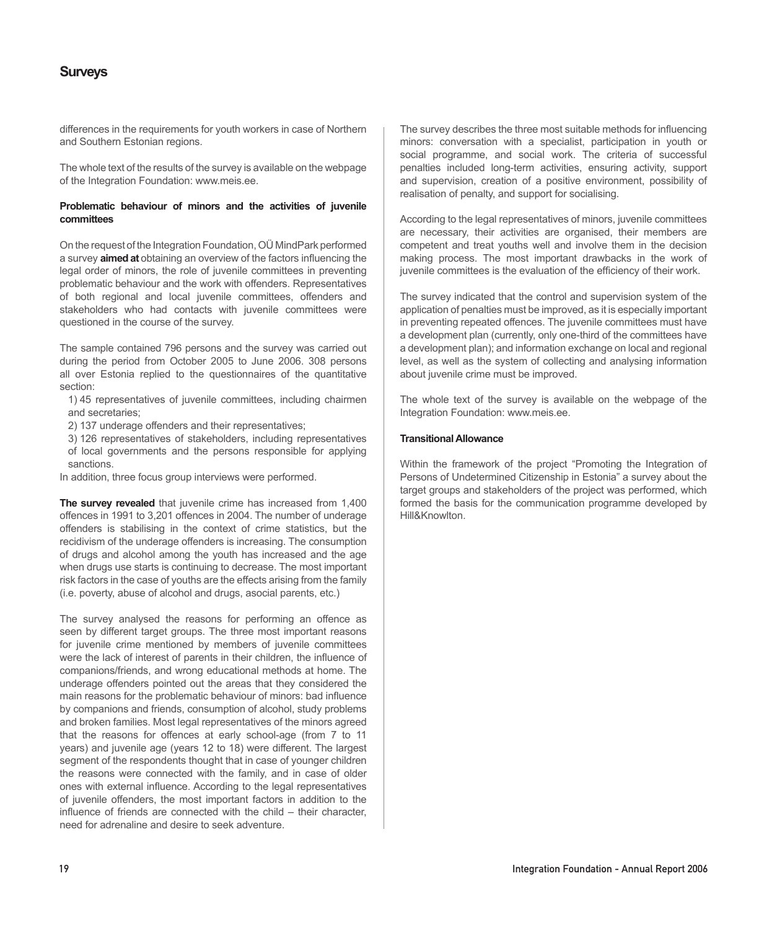## **Surveys**

differences in the requirements for youth workers in case of Northern and Southern Estonian regions.

The whole text of the results of the survey is available on the webpage of the Integration Foundation: www.meis.ee.

## **Problematic behaviour of minors and the activities of juvenile committees**

On the request of the Integration Foundation, OÜ MindPark performed a survey **aimed at** obtaining an overview of the factors influencing the legal order of minors, the role of juvenile committees in preventing problematic behaviour and the work with offenders. Representatives of both regional and local juvenile committees, offenders and stakeholders who had contacts with juvenile committees were questioned in the course of the survey.

The sample contained 796 persons and the survey was carried out during the period from October 2005 to June 2006. 308 persons all over Estonia replied to the questionnaires of the quantitative section:

1) 45 representatives of juvenile committees, including chairmen and secretaries;

2) 137 underage offenders and their representatives;

3) 126 representatives of stakeholders, including representatives of local governments and the persons responsible for applying sanctions.

In addition, three focus group interviews were performed.

**The survey revealed** that juvenile crime has increased from 1,400 offences in 1991 to 3,201 offences in 2004. The number of underage offenders is stabilising in the context of crime statistics, but the recidivism of the underage offenders is increasing. The consumption of drugs and alcohol among the youth has increased and the age when drugs use starts is continuing to decrease. The most important risk factors in the case of youths are the effects arising from the family (i.e. poverty, abuse of alcohol and drugs, asocial parents, etc.)

The survey analysed the reasons for performing an offence as seen by different target groups. The three most important reasons for juvenile crime mentioned by members of juvenile committees were the lack of interest of parents in their children, the influence of companions/friends, and wrong educational methods at home. The underage offenders pointed out the areas that they considered the main reasons for the problematic behaviour of minors: bad influence by companions and friends, consumption of alcohol, study problems and broken families. Most legal representatives of the minors agreed that the reasons for offences at early school-age (from 7 to 11 years) and juvenile age (years 12 to 18) were different. The largest segment of the respondents thought that in case of younger children the reasons were connected with the family, and in case of older ones with external influence. According to the legal representatives of juvenile offenders, the most important factors in addition to the influence of friends are connected with the child – their character, need for adrenaline and desire to seek adventure.

The survey describes the three most suitable methods for influencing minors: conversation with a specialist, participation in youth or social programme, and social work. The criteria of successful penalties included long-term activities, ensuring activity, support and supervision, creation of a positive environment, possibility of realisation of penalty, and support for socialising.

According to the legal representatives of minors, juvenile committees are necessary, their activities are organised, their members are competent and treat youths well and involve them in the decision making process. The most important drawbacks in the work of juvenile committees is the evaluation of the efficiency of their work.

The survey indicated that the control and supervision system of the application of penalties must be improved, as it is especially important in preventing repeated offences. The juvenile committees must have a development plan (currently, only one-third of the committees have a development plan); and information exchange on local and regional level, as well as the system of collecting and analysing information about juvenile crime must be improved.

The whole text of the survey is available on the webpage of the Integration Foundation: www.meis.ee.

## **Transitional Allowance**

Within the framework of the project "Promoting the Integration of Persons of Undetermined Citizenship in Estonia" a survey about the target groups and stakeholders of the project was performed, which formed the basis for the communication programme developed by Hill&Knowlton.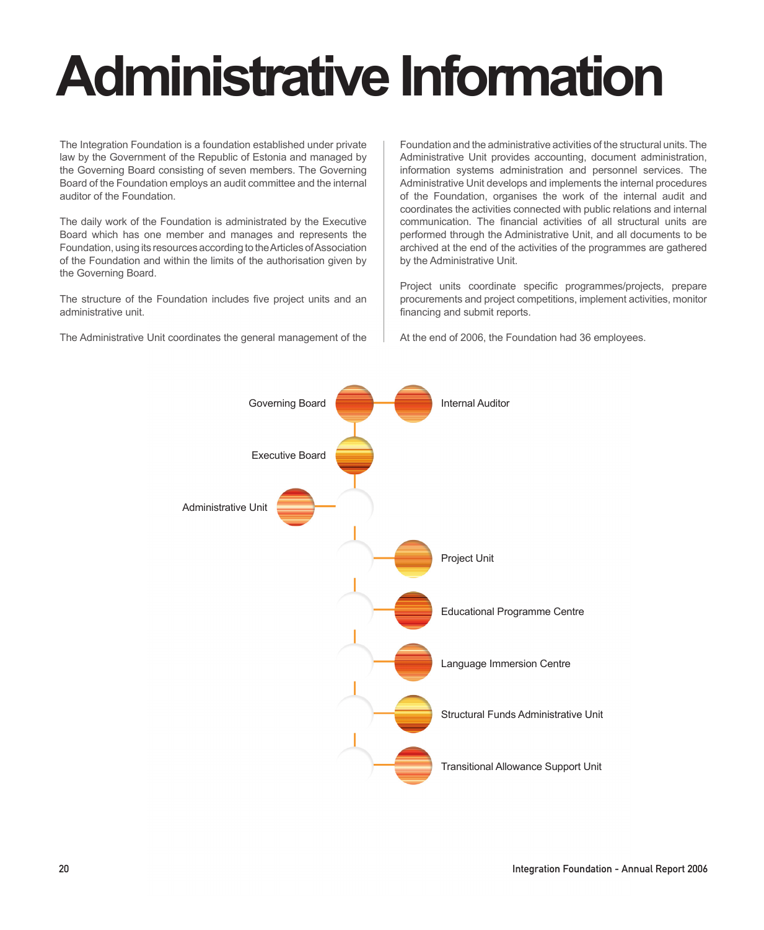# **Administrative Information**

The Integration Foundation is a foundation established under private law by the Government of the Republic of Estonia and managed by the Governing Board consisting of seven members. The Governing Board of the Foundation employs an audit committee and the internal auditor of the Foundation.

The daily work of the Foundation is administrated by the Executive Board which has one member and manages and represents the Foundation, using its resources according to the Articles of Association of the Foundation and within the limits of the authorisation given by the Governing Board.

The structure of the Foundation includes five project units and an administrative unit.

The Administrative Unit coordinates the general management of the

Foundation and the administrative activities of the structural units. The Administrative Unit provides accounting, document administration, information systems administration and personnel services. The Administrative Unit develops and implements the internal procedures of the Foundation, organises the work of the internal audit and coordinates the activities connected with public relations and internal communication. The financial activities of all structural units are performed through the Administrative Unit, and all documents to be archived at the end of the activities of the programmes are gathered by the Administrative Unit.

Project units coordinate specific programmes/projects, prepare procurements and project competitions, implement activities, monitor financing and submit reports.

At the end of 2006, the Foundation had 36 employees.

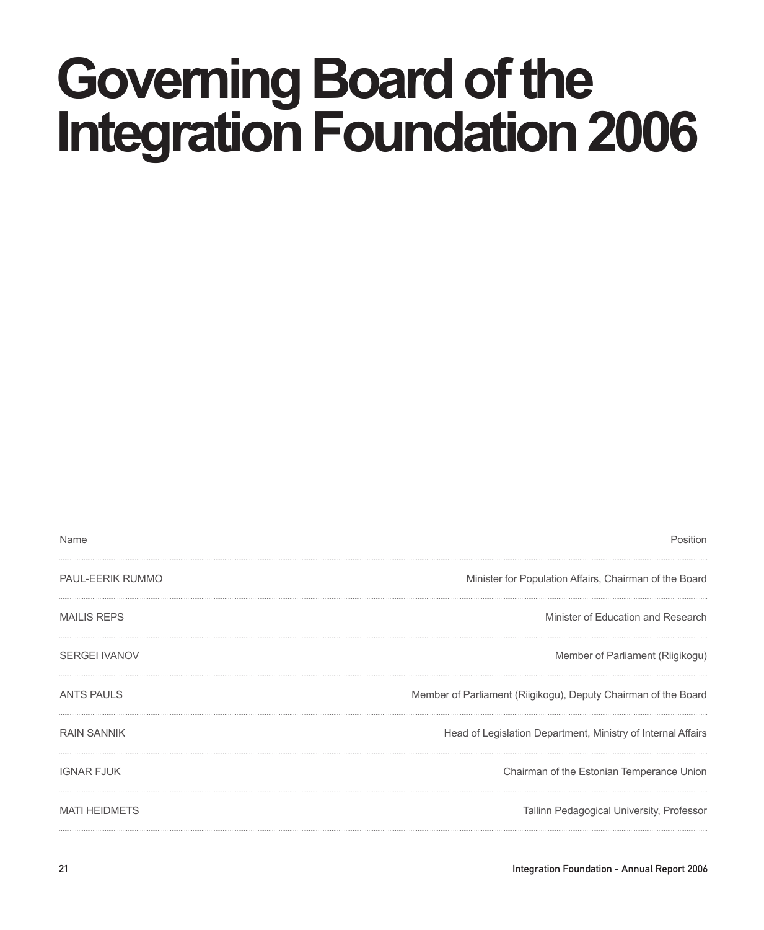## **Governing Board of the Integration Foundation 2006**

| Name                 | Position                                                       |
|----------------------|----------------------------------------------------------------|
| PAUL-EERIK RUMMO     | Minister for Population Affairs, Chairman of the Board         |
| <b>MAILIS REPS</b>   | Minister of Education and Research                             |
| <b>SERGEI IVANOV</b> | Member of Parliament (Riigikogu)                               |
| <b>ANTS PAULS</b>    | Member of Parliament (Riigikogu), Deputy Chairman of the Board |
| <b>RAIN SANNIK</b>   | Head of Legislation Department, Ministry of Internal Affairs   |
| <b>IGNAR FJUK</b>    | Chairman of the Estonian Temperance Union                      |
| <b>MATI HEIDMETS</b> | Tallinn Pedagogical University, Professor                      |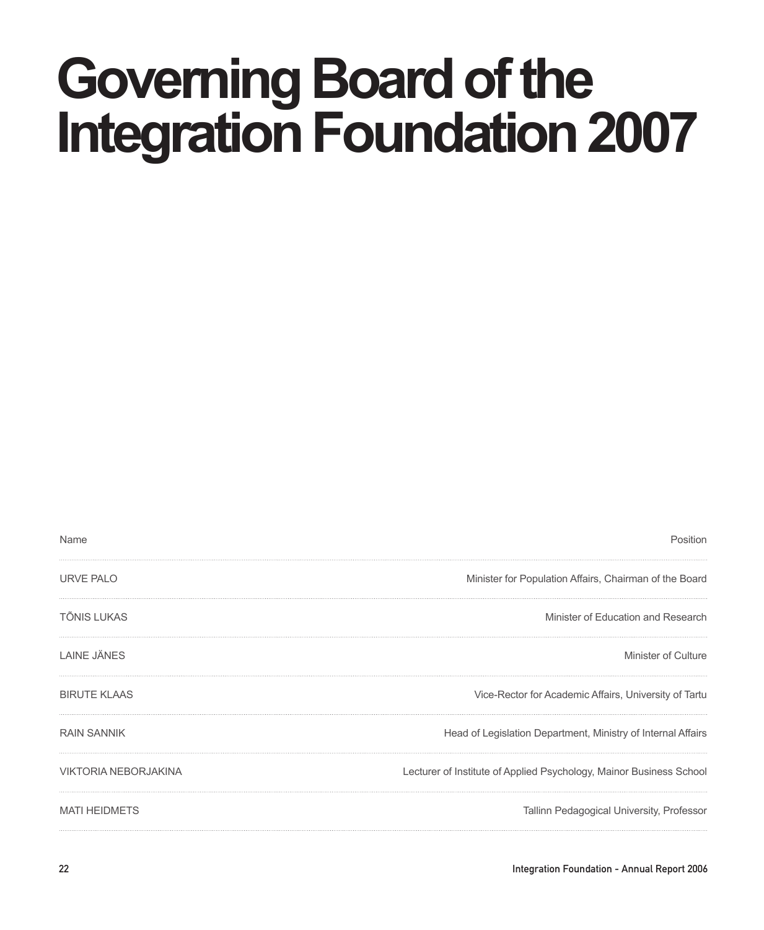## **Governing Board of the Integration Foundation 2007**

| Name                        | Position                                                            |
|-----------------------------|---------------------------------------------------------------------|
| URVE PALO                   | Minister for Population Affairs, Chairman of the Board              |
| <b>TÕNIS LUKAS</b>          | Minister of Education and Research                                  |
| <b>LAINE JÄNES</b>          | Minister of Culture                                                 |
| <b>BIRUTE KLAAS</b>         | Vice-Rector for Academic Affairs, University of Tartu               |
| <b>RAIN SANNIK</b>          | Head of Legislation Department, Ministry of Internal Affairs        |
| <b>VIKTORIA NEBORJAKINA</b> | Lecturer of Institute of Applied Psychology, Mainor Business School |
| <b>MATI HEIDMETS</b>        | Tallinn Pedagogical University, Professor                           |